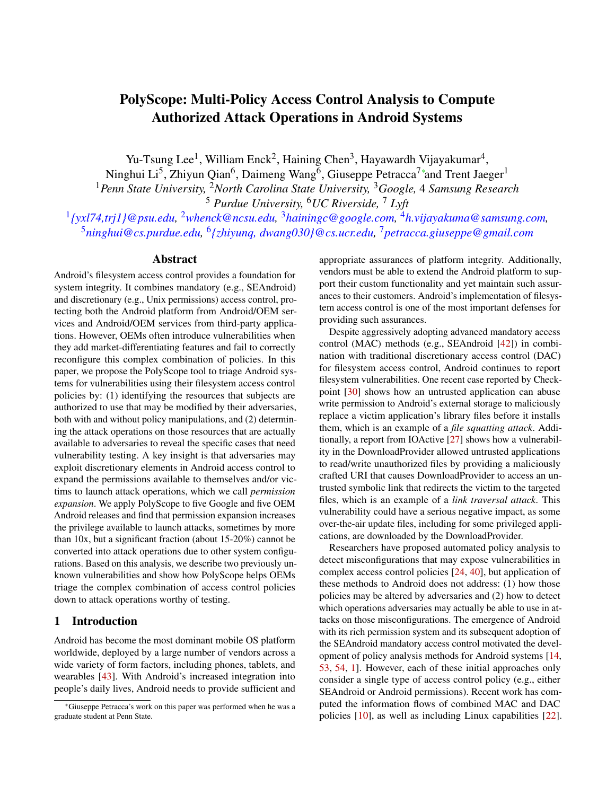# <span id="page-0-0"></span>PolyScope: Multi-Policy Access Control Analysis to Compute Authorized Attack Operations in Android Systems

Yu-Tsung Lee<sup>1</sup>, William Enck<sup>2</sup>, Haining Chen<sup>3</sup>, Hayawardh Vijayakumar<sup>4</sup>,

Ninghui Li<sup>5</sup>, Zhiyun Qian<sup>6</sup>, Daimeng Wang<sup>6</sup>, Giuseppe Petracca<sup>7</sup>\*and Trent Jaeger<sup>1</sup>

<sup>1</sup>*Penn State University,* <sup>2</sup>*North Carolina State University,* <sup>3</sup>*Google,* 4 *Samsung Research* <sup>5</sup> *Purdue University,* <sup>6</sup>*UC Riverside,* <sup>7</sup> *Lyft*

1 *{yxl74,trj1}@psu.edu,* <sup>2</sup>*whenck@ncsu.edu,* <sup>3</sup>*hainingc@google.com,* <sup>4</sup>*h.vijayakuma@samsung.com,* <sup>5</sup>ninghui@cs.purdue.edu, <sup>6</sup>{zhiyunq, dwang030}@cs.ucr.edu, <sup>7</sup> petracca.giuseppe@gmail.com

#### Abstract

Android's filesystem access control provides a foundation for system integrity. It combines mandatory (e.g., SEAndroid) and discretionary (e.g., Unix permissions) access control, protecting both the Android platform from Android/OEM services and Android/OEM services from third-party applications. However, OEMs often introduce vulnerabilities when they add market-differentiating features and fail to correctly reconfigure this complex combination of policies. In this paper, we propose the PolyScope tool to triage Android systems for vulnerabilities using their filesystem access control policies by: (1) identifying the resources that subjects are authorized to use that may be modified by their adversaries, both with and without policy manipulations, and (2) determining the attack operations on those resources that are actually available to adversaries to reveal the specific cases that need vulnerability testing. A key insight is that adversaries may exploit discretionary elements in Android access control to expand the permissions available to themselves and/or victims to launch attack operations, which we call *permission expansion*. We apply PolyScope to five Google and five OEM Android releases and find that permission expansion increases the privilege available to launch attacks, sometimes by more than 10x, but a significant fraction (about 15-20%) cannot be converted into attack operations due to other system configurations. Based on this analysis, we describe two previously unknown vulnerabilities and show how PolyScope helps OEMs triage the complex combination of access control policies down to attack operations worthy of testing.

#### 1 Introduction

Android has become the most dominant mobile OS platform worldwide, deployed by a large number of vendors across a wide variety of form factors, including phones, tablets, and wearables [\[43\]](#page-16-0). With Android's increased integration into people's daily lives, Android needs to provide sufficient and

appropriate assurances of platform integrity. Additionally, vendors must be able to extend the Android platform to support their custom functionality and yet maintain such assurances to their customers. Android's implementation of filesystem access control is one of the most important defenses for providing such assurances.

Despite aggressively adopting advanced mandatory access control (MAC) methods (e.g., SEAndroid [\[42\]](#page-16-1)) in combination with traditional discretionary access control (DAC) for filesystem access control, Android continues to report filesystem vulnerabilities. One recent case reported by Checkpoint [\[30\]](#page-16-2) shows how an untrusted application can abuse write permission to Android's external storage to maliciously replace a victim application's library files before it installs them, which is an example of a *file squatting attack*. Additionally, a report from IOActive [\[27\]](#page-16-3) shows how a vulnerability in the DownloadProvider allowed untrusted applications to read/write unauthorized files by providing a maliciously crafted URI that causes DownloadProvider to access an untrusted symbolic link that redirects the victim to the targeted files, which is an example of a *link traversal attack*. This vulnerability could have a serious negative impact, as some over-the-air update files, including for some privileged applications, are downloaded by the DownloadProvider.

Researchers have proposed automated policy analysis to detect misconfigurations that may expose vulnerabilities in complex access control policies [\[24,](#page-15-0) [40\]](#page-16-4), but application of these methods to Android does not address: (1) how those policies may be altered by adversaries and (2) how to detect which operations adversaries may actually be able to use in attacks on those misconfigurations. The emergence of Android with its rich permission system and its subsequent adoption of the SEAndroid mandatory access control motivated the development of policy analysis methods for Android systems [\[14,](#page-15-1) [53,](#page-17-0) [54,](#page-17-1) [1\]](#page-15-2). However, each of these initial approaches only consider a single type of access control policy (e.g., either SEAndroid or Android permissions). Recent work has computed the information flows of combined MAC and DAC policies [\[10\]](#page-15-3), as well as including Linux capabilities [\[22\]](#page-15-4).

<sup>∗</sup>Giuseppe Petracca's work on this paper was performed when he was a graduate student at Penn State.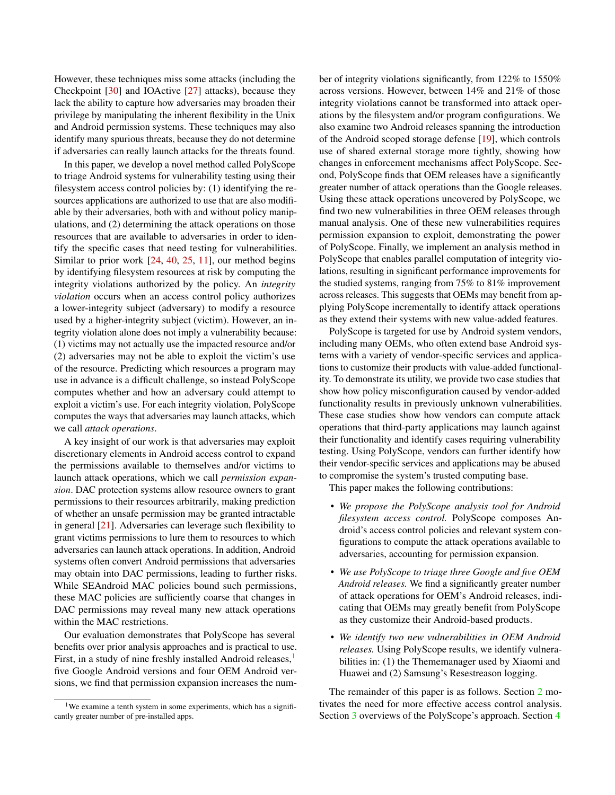However, these techniques miss some attacks (including the Checkpoint [\[30\]](#page-16-2) and IOActive [\[27\]](#page-16-3) attacks), because they lack the ability to capture how adversaries may broaden their privilege by manipulating the inherent flexibility in the Unix and Android permission systems. These techniques may also identify many spurious threats, because they do not determine if adversaries can really launch attacks for the threats found.

In this paper, we develop a novel method called PolyScope to triage Android systems for vulnerability testing using their filesystem access control policies by: (1) identifying the resources applications are authorized to use that are also modifiable by their adversaries, both with and without policy manipulations, and (2) determining the attack operations on those resources that are available to adversaries in order to identify the specific cases that need testing for vulnerabilities. Similar to prior work [\[24,](#page-15-0) [40,](#page-16-4) [25,](#page-15-5) [11\]](#page-15-6), our method begins by identifying filesystem resources at risk by computing the integrity violations authorized by the policy. An *integrity violation* occurs when an access control policy authorizes a lower-integrity subject (adversary) to modify a resource used by a higher-integrity subject (victim). However, an integrity violation alone does not imply a vulnerability because: (1) victims may not actually use the impacted resource and/or (2) adversaries may not be able to exploit the victim's use of the resource. Predicting which resources a program may use in advance is a difficult challenge, so instead PolyScope computes whether and how an adversary could attempt to exploit a victim's use. For each integrity violation, PolyScope computes the ways that adversaries may launch attacks, which we call *attack operations*.

A key insight of our work is that adversaries may exploit discretionary elements in Android access control to expand the permissions available to themselves and/or victims to launch attack operations, which we call *permission expansion*. DAC protection systems allow resource owners to grant permissions to their resources arbitrarily, making prediction of whether an unsafe permission may be granted intractable in general  $[21]$ . Adversaries can leverage such flexibility to grant victims permissions to lure them to resources to which adversaries can launch attack operations. In addition, Android systems often convert Android permissions that adversaries may obtain into DAC permissions, leading to further risks. While SEAndroid MAC policies bound such permissions, these MAC policies are sufficiently coarse that changes in DAC permissions may reveal many new attack operations within the MAC restrictions.

Our evaluation demonstrates that PolyScope has several benefits over prior analysis approaches and is practical to use. First, in a study of nine freshly installed Android releases,<sup>[1](#page-0-0)</sup> five Google Android versions and four OEM Android versions, we find that permission expansion increases the number of integrity violations significantly, from 122% to 1550% across versions. However, between 14% and 21% of those integrity violations cannot be transformed into attack operations by the filesystem and/or program configurations. We also examine two Android releases spanning the introduction of the Android scoped storage defense [\[19\]](#page-15-8), which controls use of shared external storage more tightly, showing how changes in enforcement mechanisms affect PolyScope. Second, PolyScope finds that OEM releases have a significantly greater number of attack operations than the Google releases. Using these attack operations uncovered by PolyScope, we find two new vulnerabilities in three OEM releases through manual analysis. One of these new vulnerabilities requires permission expansion to exploit, demonstrating the power of PolyScope. Finally, we implement an analysis method in PolyScope that enables parallel computation of integrity violations, resulting in significant performance improvements for the studied systems, ranging from 75% to 81% improvement across releases. This suggests that OEMs may benefit from applying PolyScope incrementally to identify attack operations as they extend their systems with new value-added features.

PolyScope is targeted for use by Android system vendors, including many OEMs, who often extend base Android systems with a variety of vendor-specific services and applications to customize their products with value-added functionality. To demonstrate its utility, we provide two case studies that show how policy misconfiguration caused by vendor-added functionality results in previously unknown vulnerabilities. These case studies show how vendors can compute attack operations that third-party applications may launch against their functionality and identify cases requiring vulnerability testing. Using PolyScope, vendors can further identify how their vendor-specific services and applications may be abused to compromise the system's trusted computing base.

This paper makes the following contributions:

- *We propose the PolyScope analysis tool for Android filesystem access control.* PolyScope composes Android's access control policies and relevant system configurations to compute the attack operations available to adversaries, accounting for permission expansion.
- *We use PolyScope to triage three Google and five OEM Android releases.* We find a significantly greater number of attack operations for OEM's Android releases, indicating that OEMs may greatly benefit from PolyScope as they customize their Android-based products.
- *We identify two new vulnerabilities in OEM Android releases.* Using PolyScope results, we identify vulnerabilities in: (1) the Thememanager used by Xiaomi and Huawei and (2) Samsung's Resestreason logging.

The remainder of this paper is as follows. Section [2](#page-2-0) motivates the need for more effective access control analysis. Section [3](#page-3-0) overviews of the PolyScope's approach. Section [4](#page-4-0)

<sup>&</sup>lt;sup>1</sup>We examine a tenth system in some experiments, which has a significantly greater number of pre-installed apps.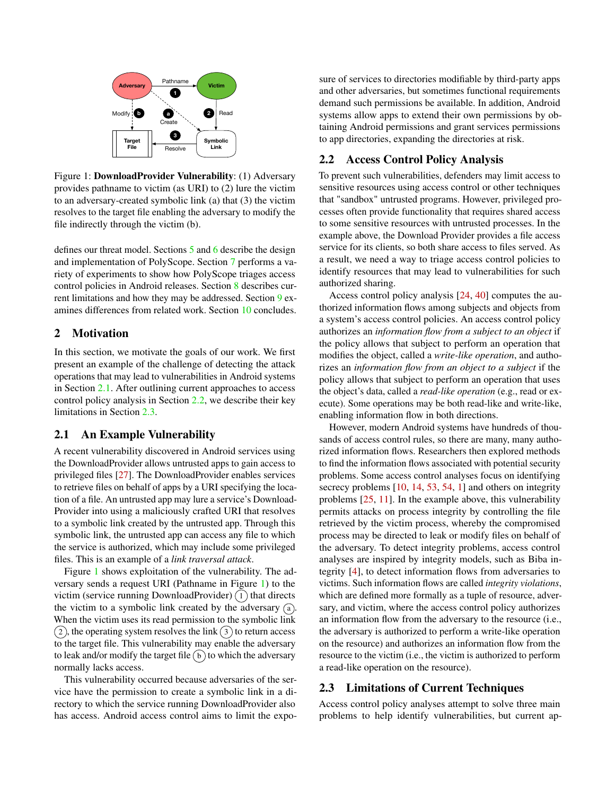

Figure 1: DownloadProvider Vulnerability: (1) Adversary provides pathname to victim (as URI) to (2) lure the victim to an adversary-created symbolic link (a) that (3) the victim resolves to the target file enabling the adversary to modify the file indirectly through the victim (b).

defines our threat model. Sections [5](#page-4-1) and [6](#page-8-0) describe the design and implementation of PolyScope. Section [7](#page-9-0) performs a variety of experiments to show how PolyScope triages access control policies in Android releases. Section [8](#page-13-0) describes current limitations and how they may be addressed. Section [9](#page-14-0) examines differences from related work. Section [10](#page-14-1) concludes.

# <span id="page-2-0"></span>2 Motivation

In this section, we motivate the goals of our work. We first present an example of the challenge of detecting the attack operations that may lead to vulnerabilities in Android systems in Section [2.1.](#page-2-1) After outlining current approaches to access control policy analysis in Section [2.2,](#page-2-2) we describe their key limitations in Section [2.3.](#page-2-3)

#### <span id="page-2-1"></span>2.1 An Example Vulnerability

A recent vulnerability discovered in Android services using the DownloadProvider allows untrusted apps to gain access to privileged files [\[27\]](#page-16-3). The DownloadProvider enables services to retrieve files on behalf of apps by a URI specifying the location of a file. An untrusted app may lure a service's Download-Provider into using a maliciously crafted URI that resolves to a symbolic link created by the untrusted app. Through this symbolic link, the untrusted app can access any file to which the service is authorized, which may include some privileged files. This is an example of a *link traversal attack*.

Figure [1](#page-2-4) shows exploitation of the vulnerability. The adversary sends a request URI (Pathname in Figure [1\)](#page-2-4) to the victim (service running DownloadProvider)  $(1)$  that directs the victim to a symbolic link created by the adversary  $\alpha$ . When the victim uses its read permission to the symbolic link  $(2)$ , the operating system resolves the link  $(3)$  to return access to the target file. This vulnerability may enable the adversary to leak and/or modify the target file  $(b)$  to which the adversary normally lacks access.

This vulnerability occurred because adversaries of the service have the permission to create a symbolic link in a directory to which the service running DownloadProvider also has access. Android access control aims to limit the exposure of services to directories modifiable by third-party apps and other adversaries, but sometimes functional requirements demand such permissions be available. In addition, Android systems allow apps to extend their own permissions by obtaining Android permissions and grant services permissions to app directories, expanding the directories at risk.

# <span id="page-2-4"></span><span id="page-2-2"></span>2.2 Access Control Policy Analysis

To prevent such vulnerabilities, defenders may limit access to sensitive resources using access control or other techniques that "sandbox" untrusted programs. However, privileged processes often provide functionality that requires shared access to some sensitive resources with untrusted processes. In the example above, the Download Provider provides a file access service for its clients, so both share access to files served. As a result, we need a way to triage access control policies to identify resources that may lead to vulnerabilities for such authorized sharing.

Access control policy analysis [\[24,](#page-15-0) [40\]](#page-16-4) computes the authorized information flows among subjects and objects from a system's access control policies. An access control policy authorizes an *information flow from a subject to an object* if the policy allows that subject to perform an operation that modifies the object, called a *write-like operation*, and authorizes an *information flow from an object to a subject* if the policy allows that subject to perform an operation that uses the object's data, called a *read-like operation* (e.g., read or execute). Some operations may be both read-like and write-like, enabling information flow in both directions.

However, modern Android systems have hundreds of thousands of access control rules, so there are many, many authorized information flows. Researchers then explored methods to find the information flows associated with potential security problems. Some access control analyses focus on identifying secrecy problems  $[10, 14, 53, 54, 1]$  $[10, 14, 53, 54, 1]$  $[10, 14, 53, 54, 1]$  $[10, 14, 53, 54, 1]$  $[10, 14, 53, 54, 1]$  $[10, 14, 53, 54, 1]$  $[10, 14, 53, 54, 1]$  $[10, 14, 53, 54, 1]$  $[10, 14, 53, 54, 1]$  and others on integrity problems [\[25,](#page-15-5) [11\]](#page-15-6). In the example above, this vulnerability permits attacks on process integrity by controlling the file retrieved by the victim process, whereby the compromised process may be directed to leak or modify files on behalf of the adversary. To detect integrity problems, access control analyses are inspired by integrity models, such as Biba integrity [\[4\]](#page-15-9), to detect information flows from adversaries to victims. Such information flows are called *integrity violations*, which are defined more formally as a tuple of resource, adversary, and victim, where the access control policy authorizes an information flow from the adversary to the resource (i.e., the adversary is authorized to perform a write-like operation on the resource) and authorizes an information flow from the resource to the victim (i.e., the victim is authorized to perform a read-like operation on the resource).

#### <span id="page-2-3"></span>2.3 Limitations of Current Techniques

Access control policy analyses attempt to solve three main problems to help identify vulnerabilities, but current ap-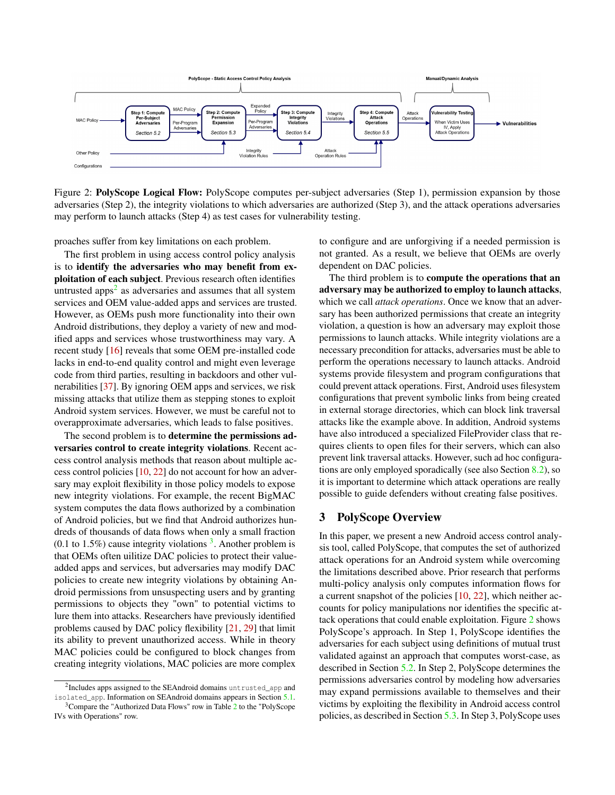

Figure 2: PolyScope Logical Flow: PolyScope computes per-subject adversaries (Step 1), permission expansion by those adversaries (Step 2), the integrity violations to which adversaries are authorized (Step 3), and the attack operations adversaries may perform to launch attacks (Step 4) as test cases for vulnerability testing.

proaches suffer from key limitations on each problem.

The first problem in using access control policy analysis is to identify the adversaries who may benefit from exploitation of each subject. Previous research often identifies untrusted apps<sup>[2](#page-0-0)</sup> as adversaries and assumes that all system services and OEM value-added apps and services are trusted. However, as OEMs push more functionality into their own Android distributions, they deploy a variety of new and modified apps and services whose trustworthiness may vary. A recent study [\[16\]](#page-15-10) reveals that some OEM pre-installed code lacks in end-to-end quality control and might even leverage code from third parties, resulting in backdoors and other vulnerabilities [\[37\]](#page-16-5). By ignoring OEM apps and services, we risk missing attacks that utilize them as stepping stones to exploit Android system services. However, we must be careful not to overapproximate adversaries, which leads to false positives.

The second problem is to determine the permissions adversaries control to create integrity violations. Recent access control analysis methods that reason about multiple access control policies [\[10,](#page-15-3) [22\]](#page-15-4) do not account for how an adversary may exploit flexibility in those policy models to expose new integrity violations. For example, the recent BigMAC system computes the data flows authorized by a combination of Android policies, but we find that Android authorizes hundreds of thousands of data flows when only a small fraction  $(0.1$  to 1.5%) cause integrity violations  $3$ . Another problem is that OEMs often uilitize DAC policies to protect their valueadded apps and services, but adversaries may modify DAC policies to create new integrity violations by obtaining Android permissions from unsuspecting users and by granting permissions to objects they "own" to potential victims to lure them into attacks. Researchers have previously identified problems caused by DAC policy flexibility [\[21,](#page-15-7) [29\]](#page-16-6) that limit its ability to prevent unauthorized access. While in theory MAC policies could be configured to block changes from creating integrity violations, MAC policies are more complex

<span id="page-3-1"></span>to configure and are unforgiving if a needed permission is not granted. As a result, we believe that OEMs are overly dependent on DAC policies.

The third problem is to compute the operations that an adversary may be authorized to employ to launch attacks, which we call *attack operations*. Once we know that an adversary has been authorized permissions that create an integrity violation, a question is how an adversary may exploit those permissions to launch attacks. While integrity violations are a necessary precondition for attacks, adversaries must be able to perform the operations necessary to launch attacks. Android systems provide filesystem and program configurations that could prevent attack operations. First, Android uses filesystem configurations that prevent symbolic links from being created in external storage directories, which can block link traversal attacks like the example above. In addition, Android systems have also introduced a specialized FileProvider class that requires clients to open files for their servers, which can also prevent link traversal attacks. However, such ad hoc configurations are only employed sporadically (see also Section [8.2\)](#page-13-1), so it is important to determine which attack operations are really possible to guide defenders without creating false positives.

### <span id="page-3-0"></span>3 PolyScope Overview

In this paper, we present a new Android access control analysis tool, called PolyScope, that computes the set of authorized attack operations for an Android system while overcoming the limitations described above. Prior research that performs multi-policy analysis only computes information flows for a current snapshot of the policies [\[10,](#page-15-3) [22\]](#page-15-4), which neither accounts for policy manipulations nor identifies the specific attack operations that could enable exploitation. Figure [2](#page-3-1) shows PolyScope's approach. In Step 1, PolyScope identifies the adversaries for each subject using definitions of mutual trust validated against an approach that computes worst-case, as described in Section [5.2.](#page-6-0) In Step 2, PolyScope determines the permissions adversaries control by modeling how adversaries may expand permissions available to themselves and their victims by exploiting the flexibility in Android access control policies, as described in Section [5.3.](#page-6-1) In Step 3, PolyScope uses

 $2$ Includes apps assigned to the SEAndroid domains untrusted\_app and isolated\_app. Information on SEAndroid domains appears in Section [5.1.](#page-4-2)

 $3$ Compare the "Authorized Data Flows" row in Table [2](#page-10-0) to the "PolyScope" IVs with Operations" row.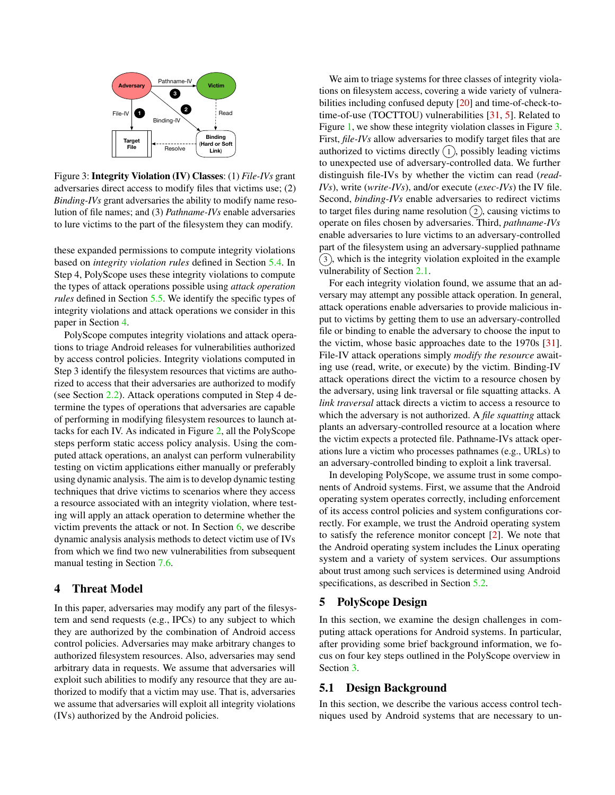

Figure 3: Integrity Violation (IV) Classes: (1) *File-IVs* grant adversaries direct access to modify files that victims use; (2) *Binding-IVs* grant adversaries the ability to modify name resolution of file names; and (3) *Pathname-IVs* enable adversaries to lure victims to the part of the filesystem they can modify.

these expanded permissions to compute integrity violations based on *integrity violation rules* defined in Section [5.4.](#page-7-0) In Step 4, PolyScope uses these integrity violations to compute the types of attack operations possible using *attack operation rules* defined in Section [5.5.](#page-8-1) We identify the specific types of integrity violations and attack operations we consider in this paper in Section [4.](#page-4-0)

PolyScope computes integrity violations and attack operations to triage Android releases for vulnerabilities authorized by access control policies. Integrity violations computed in Step 3 identify the filesystem resources that victims are authorized to access that their adversaries are authorized to modify (see Section [2.2\)](#page-2-2). Attack operations computed in Step 4 determine the types of operations that adversaries are capable of performing in modifying filesystem resources to launch attacks for each IV. As indicated in Figure [2,](#page-3-1) all the PolyScope steps perform static access policy analysis. Using the computed attack operations, an analyst can perform vulnerability testing on victim applications either manually or preferably using dynamic analysis. The aim is to develop dynamic testing techniques that drive victims to scenarios where they access a resource associated with an integrity violation, where testing will apply an attack operation to determine whether the victim prevents the attack or not. In Section [6,](#page-8-0) we describe dynamic analysis analysis methods to detect victim use of IVs from which we find two new vulnerabilities from subsequent manual testing in Section [7.6.](#page-11-0)

#### <span id="page-4-0"></span>4 Threat Model

In this paper, adversaries may modify any part of the filesystem and send requests (e.g., IPCs) to any subject to which they are authorized by the combination of Android access control policies. Adversaries may make arbitrary changes to authorized filesystem resources. Also, adversaries may send arbitrary data in requests. We assume that adversaries will exploit such abilities to modify any resource that they are authorized to modify that a victim may use. That is, adversaries we assume that adversaries will exploit all integrity violations (IVs) authorized by the Android policies.

<span id="page-4-3"></span>We aim to triage systems for three classes of integrity violations on filesystem access, covering a wide variety of vulnerabilities including confused deputy [\[20\]](#page-15-11) and time-of-check-totime-of-use (TOCTTOU) vulnerabilities [\[31,](#page-16-7) [5\]](#page-15-12). Related to Figure [1,](#page-2-4) we show these integrity violation classes in Figure [3.](#page-4-3) First, *file-IVs* allow adversaries to modify target files that are authorized to victims directly  $(1)$ , possibly leading victims to unexpected use of adversary-controlled data. We further distinguish file-IVs by whether the victim can read (*read-IVs*), write (*write-IVs*), and/or execute (*exec-IVs*) the IV file. Second, *binding-IVs* enable adversaries to redirect victims to target files during name resolution  $(2)$ , causing victims to operate on files chosen by adversaries. Third, *pathname-IVs* enable adversaries to lure victims to an adversary-controlled part of the filesystem using an adversary-supplied pathname  $(3)$ , which is the integrity violation exploited in the example vulnerability of Section [2.1.](#page-2-1)

For each integrity violation found, we assume that an adversary may attempt any possible attack operation. In general, attack operations enable adversaries to provide malicious input to victims by getting them to use an adversary-controlled file or binding to enable the adversary to choose the input to the victim, whose basic approaches date to the 1970s [\[31\]](#page-16-7). File-IV attack operations simply *modify the resource* awaiting use (read, write, or execute) by the victim. Binding-IV attack operations direct the victim to a resource chosen by the adversary, using link traversal or file squatting attacks. A *link traversal* attack directs a victim to access a resource to which the adversary is not authorized. A *file squatting* attack plants an adversary-controlled resource at a location where the victim expects a protected file. Pathname-IVs attack operations lure a victim who processes pathnames (e.g., URLs) to an adversary-controlled binding to exploit a link traversal.

In developing PolyScope, we assume trust in some components of Android systems. First, we assume that the Android operating system operates correctly, including enforcement of its access control policies and system configurations correctly. For example, we trust the Android operating system to satisfy the reference monitor concept [\[2\]](#page-15-13). We note that the Android operating system includes the Linux operating system and a variety of system services. Our assumptions about trust among such services is determined using Android specifications, as described in Section [5.2.](#page-6-0)

# <span id="page-4-1"></span>5 PolyScope Design

In this section, we examine the design challenges in computing attack operations for Android systems. In particular, after providing some brief background information, we focus on four key steps outlined in the PolyScope overview in Section [3.](#page-3-0)

#### <span id="page-4-2"></span>5.1 Design Background

In this section, we describe the various access control techniques used by Android systems that are necessary to un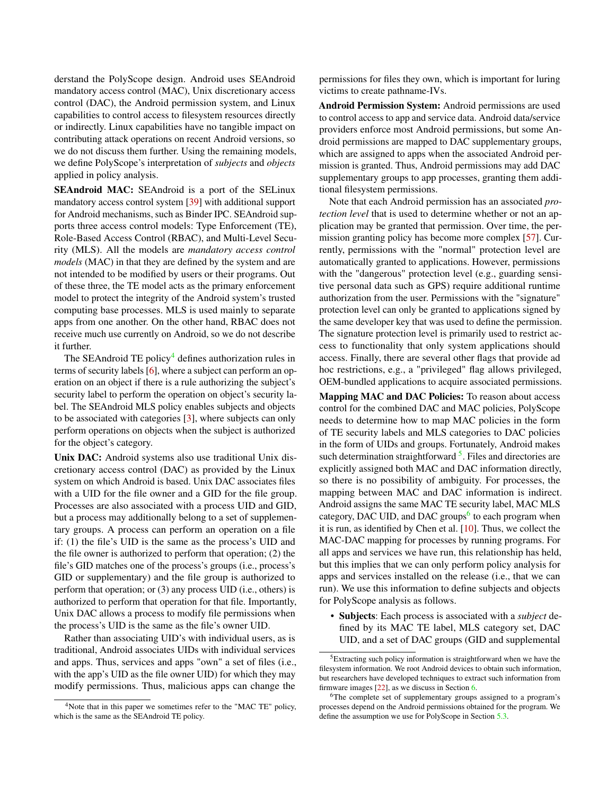derstand the PolyScope design. Android uses SEAndroid mandatory access control (MAC), Unix discretionary access control (DAC), the Android permission system, and Linux capabilities to control access to filesystem resources directly or indirectly. Linux capabilities have no tangible impact on contributing attack operations on recent Android versions, so we do not discuss them further. Using the remaining models, we define PolyScope's interpretation of *subjects* and *objects* applied in policy analysis.

SEAndroid MAC: SEAndroid is a port of the SELinux mandatory access control system [\[39\]](#page-16-8) with additional support for Android mechanisms, such as Binder IPC. SEAndroid supports three access control models: Type Enforcement (TE), Role-Based Access Control (RBAC), and Multi-Level Security (MLS). All the models are *mandatory access control models* (MAC) in that they are defined by the system and are not intended to be modified by users or their programs. Out of these three, the TE model acts as the primary enforcement model to protect the integrity of the Android system's trusted computing base processes. MLS is used mainly to separate apps from one another. On the other hand, RBAC does not receive much use currently on Android, so we do not describe it further.

The SEAndroid TE policy<sup>[4](#page-0-0)</sup> defines authorization rules in terms of security labels [\[6\]](#page-15-14), where a subject can perform an operation on an object if there is a rule authorizing the subject's security label to perform the operation on object's security label. The SEAndroid MLS policy enables subjects and objects to be associated with categories [\[3\]](#page-15-15), where subjects can only perform operations on objects when the subject is authorized for the object's category.

Unix DAC: Android systems also use traditional Unix discretionary access control (DAC) as provided by the Linux system on which Android is based. Unix DAC associates files with a UID for the file owner and a GID for the file group. Processes are also associated with a process UID and GID, but a process may additionally belong to a set of supplementary groups. A process can perform an operation on a file if: (1) the file's UID is the same as the process's UID and the file owner is authorized to perform that operation; (2) the file's GID matches one of the process's groups (i.e., process's GID or supplementary) and the file group is authorized to perform that operation; or (3) any process UID (i.e., others) is authorized to perform that operation for that file. Importantly, Unix DAC allows a process to modify file permissions when the process's UID is the same as the file's owner UID.

Rather than associating UID's with individual users, as is traditional, Android associates UIDs with individual services and apps. Thus, services and apps "own" a set of files (i.e., with the app's UID as the file owner UID) for which they may modify permissions. Thus, malicious apps can change the

permissions for files they own, which is important for luring victims to create pathname-IVs.

Android Permission System: Android permissions are used to control access to app and service data. Android data/service providers enforce most Android permissions, but some Android permissions are mapped to DAC supplementary groups, which are assigned to apps when the associated Android permission is granted. Thus, Android permissions may add DAC supplementary groups to app processes, granting them additional filesystem permissions.

Note that each Android permission has an associated *protection level* that is used to determine whether or not an application may be granted that permission. Over time, the permission granting policy has become more complex [\[57\]](#page-17-2). Currently, permissions with the "normal" protection level are automatically granted to applications. However, permissions with the "dangerous" protection level (e.g., guarding sensitive personal data such as GPS) require additional runtime authorization from the user. Permissions with the "signature" protection level can only be granted to applications signed by the same developer key that was used to define the permission. The signature protection level is primarily used to restrict access to functionality that only system applications should access. Finally, there are several other flags that provide ad hoc restrictions, e.g., a "privileged" flag allows privileged, OEM-bundled applications to acquire associated permissions.

Mapping MAC and DAC Policies: To reason about access control for the combined DAC and MAC policies, PolyScope needs to determine how to map MAC policies in the form of TE security labels and MLS categories to DAC policies in the form of UIDs and groups. Fortunately, Android makes such determination straightforward<sup>[5](#page-0-0)</sup>. Files and directories are explicitly assigned both MAC and DAC information directly, so there is no possibility of ambiguity. For processes, the mapping between MAC and DAC information is indirect. Android assigns the same MAC TE security label, MAC MLS category, DAC UID, and DAC groups<sup>[6](#page-0-0)</sup> to each program when it is run, as identified by Chen et al. [\[10\]](#page-15-3). Thus, we collect the MAC-DAC mapping for processes by running programs. For all apps and services we have run, this relationship has held, but this implies that we can only perform policy analysis for apps and services installed on the release (i.e., that we can run). We use this information to define subjects and objects for PolyScope analysis as follows.

• Subjects: Each process is associated with a *subject* defined by its MAC TE label, MLS category set, DAC UID, and a set of DAC groups (GID and supplemental

<sup>&</sup>lt;sup>4</sup>Note that in this paper we sometimes refer to the "MAC TE" policy, which is the same as the SEAndroid TE policy.

<sup>5</sup>Extracting such policy information is straightforward when we have the filesystem information. We root Android devices to obtain such information, but researchers have developed techniques to extract such information from firmware images [\[22\]](#page-15-4), as we discuss in Section [6.](#page-8-0)

<sup>&</sup>lt;sup>6</sup>The complete set of supplementary groups assigned to a program's processes depend on the Android permissions obtained for the program. We define the assumption we use for PolyScope in Section [5.3.](#page-6-1)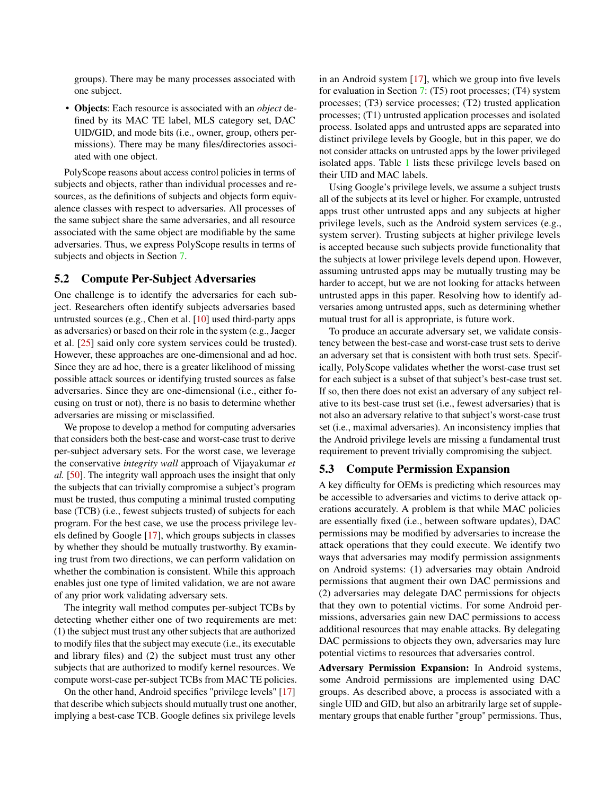groups). There may be many processes associated with one subject.

• Objects: Each resource is associated with an *object* defined by its MAC TE label, MLS category set, DAC UID/GID, and mode bits (i.e., owner, group, others permissions). There may be many files/directories associated with one object.

PolyScope reasons about access control policies in terms of subjects and objects, rather than individual processes and resources, as the definitions of subjects and objects form equivalence classes with respect to adversaries. All processes of the same subject share the same adversaries, and all resource associated with the same object are modifiable by the same adversaries. Thus, we express PolyScope results in terms of subjects and objects in Section [7.](#page-9-0)

#### <span id="page-6-0"></span>5.2 Compute Per-Subject Adversaries

One challenge is to identify the adversaries for each subject. Researchers often identify subjects adversaries based untrusted sources (e.g., Chen et al. [\[10\]](#page-15-3) used third-party apps as adversaries) or based on their role in the system (e.g., Jaeger et al. [\[25\]](#page-15-5) said only core system services could be trusted). However, these approaches are one-dimensional and ad hoc. Since they are ad hoc, there is a greater likelihood of missing possible attack sources or identifying trusted sources as false adversaries. Since they are one-dimensional (i.e., either focusing on trust or not), there is no basis to determine whether adversaries are missing or misclassified.

We propose to develop a method for computing adversaries that considers both the best-case and worst-case trust to derive per-subject adversary sets. For the worst case, we leverage the conservative *integrity wall* approach of Vijayakumar *et al.* [\[50\]](#page-16-9). The integrity wall approach uses the insight that only the subjects that can trivially compromise a subject's program must be trusted, thus computing a minimal trusted computing base (TCB) (i.e., fewest subjects trusted) of subjects for each program. For the best case, we use the process privilege levels defined by Google [\[17\]](#page-15-16), which groups subjects in classes by whether they should be mutually trustworthy. By examining trust from two directions, we can perform validation on whether the combination is consistent. While this approach enables just one type of limited validation, we are not aware of any prior work validating adversary sets.

The integrity wall method computes per-subject TCBs by detecting whether either one of two requirements are met: (1) the subject must trust any other subjects that are authorized to modify files that the subject may execute (i.e., its executable and library files) and (2) the subject must trust any other subjects that are authorized to modify kernel resources. We compute worst-case per-subject TCBs from MAC TE policies.

On the other hand, Android specifies "privilege levels" [\[17\]](#page-15-16) that describe which subjects should mutually trust one another, implying a best-case TCB. Google defines six privilege levels

in an Android system [\[17\]](#page-15-16), which we group into five levels for evaluation in Section [7:](#page-9-0) (T5) root processes; (T4) system processes; (T3) service processes; (T2) trusted application processes; (T1) untrusted application processes and isolated process. Isolated apps and untrusted apps are separated into distinct privilege levels by Google, but in this paper, we do not consider attacks on untrusted apps by the lower privileged isolated apps. Table [1](#page-7-1) lists these privilege levels based on their UID and MAC labels.

Using Google's privilege levels, we assume a subject trusts all of the subjects at its level or higher. For example, untrusted apps trust other untrusted apps and any subjects at higher privilege levels, such as the Android system services (e.g., system server). Trusting subjects at higher privilege levels is accepted because such subjects provide functionality that the subjects at lower privilege levels depend upon. However, assuming untrusted apps may be mutually trusting may be harder to accept, but we are not looking for attacks between untrusted apps in this paper. Resolving how to identify adversaries among untrusted apps, such as determining whether mutual trust for all is appropriate, is future work.

To produce an accurate adversary set, we validate consistency between the best-case and worst-case trust sets to derive an adversary set that is consistent with both trust sets. Specifically, PolyScope validates whether the worst-case trust set for each subject is a subset of that subject's best-case trust set. If so, then there does not exist an adversary of any subject relative to its best-case trust set (i.e., fewest adversaries) that is not also an adversary relative to that subject's worst-case trust set (i.e., maximal adversaries). An inconsistency implies that the Android privilege levels are missing a fundamental trust requirement to prevent trivially compromising the subject.

### <span id="page-6-1"></span>5.3 Compute Permission Expansion

A key difficulty for OEMs is predicting which resources may be accessible to adversaries and victims to derive attack operations accurately. A problem is that while MAC policies are essentially fixed (i.e., between software updates), DAC permissions may be modified by adversaries to increase the attack operations that they could execute. We identify two ways that adversaries may modify permission assignments on Android systems: (1) adversaries may obtain Android permissions that augment their own DAC permissions and (2) adversaries may delegate DAC permissions for objects that they own to potential victims. For some Android permissions, adversaries gain new DAC permissions to access additional resources that may enable attacks. By delegating DAC permissions to objects they own, adversaries may lure potential victims to resources that adversaries control.

Adversary Permission Expansion: In Android systems, some Android permissions are implemented using DAC groups. As described above, a process is associated with a single UID and GID, but also an arbitrarily large set of supplementary groups that enable further "group" permissions. Thus,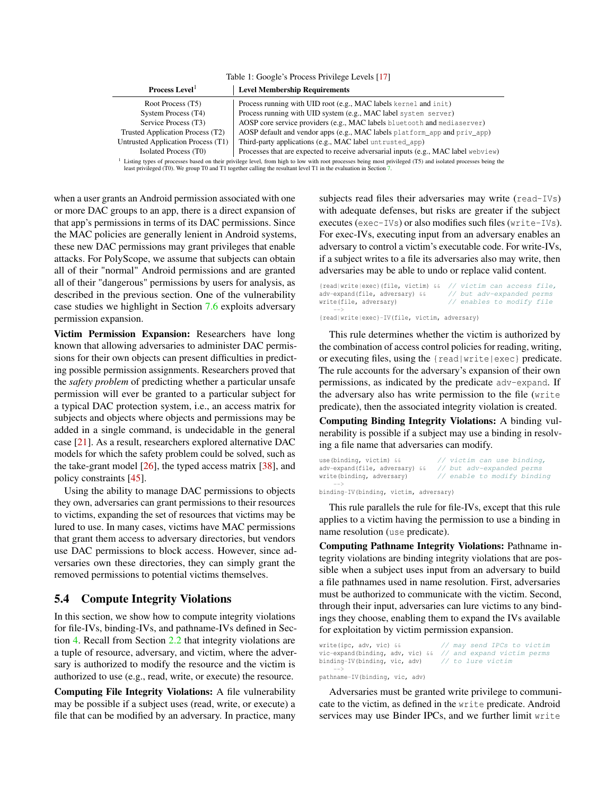<span id="page-7-1"></span>Table 1: Google's Process Privilege Levels [\[17\]](#page-15-16)

| Process Level <sup>1</sup>         | <b>Level Membership Requirements</b>                                                            |
|------------------------------------|-------------------------------------------------------------------------------------------------|
| Root Process (T5)                  | Process running with UID root (e.g., MAC labels kernel and init)                                |
| System Process (T4)                | Process running with UID system (e.g., MAC label system server)                                 |
| Service Process (T3)               | AOSP core service providers (e.g., MAC labels bluetooth and mediaserver)                        |
| Trusted Application Process (T2)   | AOSP default and vendor apps (e.g., MAC labels platform_app and priv_app)                       |
| Untrusted Application Process (T1) | Third-party applications (e.g., MAC label untrusted_app)                                        |
| Isolated Process (T0)              | Processes that are expected to receive adversarial inputs (e.g., MAC label webview)             |
|                                    | larid i e a arab ina mara a seria a da seria da contro da controla de la comenciación de la cal |

isting types of processes based on their privilege level, from high to low with root processes being most privileged (T5) and isolated processes being the least privileged (T0). We group T0 and T1 together calling the resultant level T1 in the evaluation in Section [7.](#page-9-0)

when a user grants an Android permission associated with one or more DAC groups to an app, there is a direct expansion of that app's permissions in terms of its DAC permissions. Since the MAC policies are generally lenient in Android systems, these new DAC permissions may grant privileges that enable attacks. For PolyScope, we assume that subjects can obtain all of their "normal" Android permissions and are granted all of their "dangerous" permissions by users for analysis, as described in the previous section. One of the vulnerability case studies we highlight in Section [7.6](#page-11-0) exploits adversary permission expansion.

Victim Permission Expansion: Researchers have long known that allowing adversaries to administer DAC permissions for their own objects can present difficulties in predicting possible permission assignments. Researchers proved that the *safety problem* of predicting whether a particular unsafe permission will ever be granted to a particular subject for a typical DAC protection system, i.e., an access matrix for subjects and objects where objects and permissions may be added in a single command, is undecidable in the general case [\[21\]](#page-15-7). As a result, researchers explored alternative DAC models for which the safety problem could be solved, such as the take-grant model [\[26\]](#page-16-10), the typed access matrix [\[38\]](#page-16-11), and policy constraints [\[45\]](#page-16-12).

Using the ability to manage DAC permissions to objects they own, adversaries can grant permissions to their resources to victims, expanding the set of resources that victims may be lured to use. In many cases, victims have MAC permissions that grant them access to adversary directories, but vendors use DAC permissions to block access. However, since adversaries own these directories, they can simply grant the removed permissions to potential victims themselves.

#### <span id="page-7-0"></span>5.4 Compute Integrity Violations

In this section, we show how to compute integrity violations for file-IVs, binding-IVs, and pathname-IVs defined in Section [4.](#page-4-0) Recall from Section [2.2](#page-2-2) that integrity violations are a tuple of resource, adversary, and victim, where the adversary is authorized to modify the resource and the victim is authorized to use (e.g., read, write, or execute) the resource.

Computing File Integrity Violations: A file vulnerability may be possible if a subject uses (read, write, or execute) a file that can be modified by an adversary. In practice, many

subjects read files their adversaries may write (read-IVs) with adequate defenses, but risks are greater if the subject executes (exec-IVs) or also modifies such files (write-IVs). For exec-IVs, executing input from an adversary enables an adversary to control a victim's executable code. For write-IVs, if a subject writes to a file its adversaries also may write, then adversaries may be able to undo or replace valid content.

{read|write|exec}(file, victim)  $\&$  // victim can access file, adv-expand(file, adversary)  $\&$  // but adv-expanded perms  $adv$ -expand(file, adversary) & & write(file, adversary)  $\frac{1}{2}$  enables to modify file  $--&$ {read|write|exec}-IV(file, victim, adversary)

This rule determines whether the victim is authorized by the combination of access control policies for reading, writing, or executing files, using the {read|write|exec} predicate. The rule accounts for the adversary's expansion of their own permissions, as indicated by the predicate adv-expand. If the adversary also has write permission to the file (write predicate), then the associated integrity violation is created.

Computing Binding Integrity Violations: A binding vulnerability is possible if a subject may use a binding in resolving a file name that adversaries can modify.

```
use(binding, victim) && // victim can use binding,
adv-expand(file, adversary) && // but adv-expanded perms
write(binding, adversary) // enable to modify binding
   \rightarrow
```
binding-IV(binding, victim, adversary)

This rule parallels the rule for file-IVs, except that this rule applies to a victim having the permission to use a binding in name resolution (use predicate).

Computing Pathname Integrity Violations: Pathname integrity violations are binding integrity violations that are possible when a subject uses input from an adversary to build a file pathnames used in name resolution. First, adversaries must be authorized to communicate with the victim. Second, through their input, adversaries can lure victims to any bindings they choose, enabling them to expand the IVs available for exploitation by victim permission expansion.

```
write(ipc, adv, vic) && // may send IPCs to victim
vic-expand(binding, adv, vic) && // and expand victim perms<br>binding-IV(binding, vic, adv) // to lure victim
binding-IV(binding, vic, adv)
     -->
pathname-IV(binding, vic, adv)
```
Adversaries must be granted write privilege to communicate to the victim, as defined in the write predicate. Android services may use Binder IPCs, and we further limit write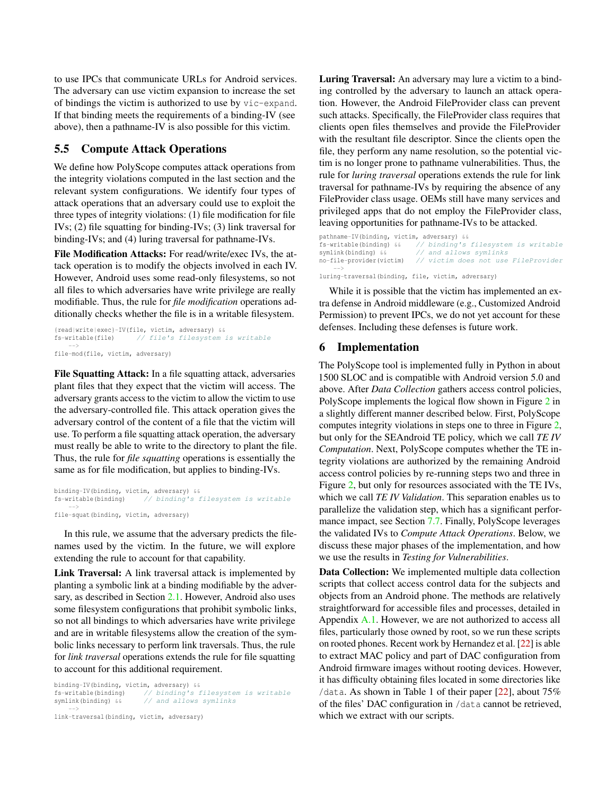to use IPCs that communicate URLs for Android services. The adversary can use victim expansion to increase the set of bindings the victim is authorized to use by vic-expand. If that binding meets the requirements of a binding-IV (see above), then a pathname-IV is also possible for this victim.

# <span id="page-8-1"></span>5.5 Compute Attack Operations

We define how PolyScope computes attack operations from the integrity violations computed in the last section and the relevant system configurations. We identify four types of attack operations that an adversary could use to exploit the three types of integrity violations: (1) file modification for file IVs; (2) file squatting for binding-IVs; (3) link traversal for binding-IVs; and (4) luring traversal for pathname-IVs.

File Modification Attacks: For read/write/exec IVs, the attack operation is to modify the objects involved in each IV. However, Android uses some read-only filesystems, so not all files to which adversaries have write privilege are really modifiable. Thus, the rule for *file modification* operations additionally checks whether the file is in a writable filesystem.

```
{read|write|exec}-IV(file, victim, adversary) &&
fs-writable(file) // file's filesystem is writable
    --&file-mod(file, victim, adversary)
```
File Squatting Attack: In a file squatting attack, adversaries plant files that they expect that the victim will access. The adversary grants access to the victim to allow the victim to use the adversary-controlled file. This attack operation gives the adversary control of the content of a file that the victim will use. To perform a file squatting attack operation, the adversary must really be able to write to the directory to plant the file. Thus, the rule for *file squatting* operations is essentially the same as for file modification, but applies to binding-IVs.

```
binding-IV(binding, victim, adversary) &&
fs-writable(binding) // binding's filesystem is writable
    --&file-squat(binding, victim, adversary)
```
In this rule, we assume that the adversary predicts the filenames used by the victim. In the future, we will explore extending the rule to account for that capability.

Link Traversal: A link traversal attack is implemented by planting a symbolic link at a binding modifiable by the adversary, as described in Section [2.1.](#page-2-1) However, Android also uses some filesystem configurations that prohibit symbolic links, so not all bindings to which adversaries have write privilege and are in writable filesystems allow the creation of the symbolic links necessary to perform link traversals. Thus, the rule for *link traversal* operations extends the rule for file squatting to account for this additional requirement.

binding-IV(binding, victim, adversary) && fs-writable(binding) // binding's filesystem is writable symlink(binding) && // and allows symlinks --> link-traversal(binding, victim, adversary)

Luring Traversal: An adversary may lure a victim to a binding controlled by the adversary to launch an attack operation. However, the Android FileProvider class can prevent such attacks. Specifically, the FileProvider class requires that clients open files themselves and provide the FileProvider with the resultant file descriptor. Since the clients open the file, they perform any name resolution, so the potential victim is no longer prone to pathname vulnerabilities. Thus, the rule for *luring traversal* operations extends the rule for link traversal for pathname-IVs by requiring the absence of any FileProvider class usage. OEMs still have many services and privileged apps that do not employ the FileProvider class, leaving opportunities for pathname-IVs to be attacked.

```
pathname-IV(binding, victim, adversary) & \frac{6}{5}-writable(binding) & // binding's
fs-writable(binding) && // binding's filesystem is writable
symlink(binding) && // and allows symlinks
no-file-provider(victim) // victim does not use FileProvider
     -->
luring-traversal(binding, file, victim, adversary)
```
While it is possible that the victim has implemented an extra defense in Android middleware (e.g., Customized Android Permission) to prevent IPCs, we do not yet account for these defenses. Including these defenses is future work.

### <span id="page-8-0"></span>6 Implementation

The PolyScope tool is implemented fully in Python in about 1500 SLOC and is compatible with Android version 5.0 and above. After *Data Collection* gathers access control policies, PolyScope implements the logical flow shown in Figure [2](#page-3-1) in a slightly different manner described below. First, PolyScope computes integrity violations in steps one to three in Figure [2,](#page-3-1) but only for the SEAndroid TE policy, which we call *TE IV Computation*. Next, PolyScope computes whether the TE integrity violations are authorized by the remaining Android access control policies by re-running steps two and three in Figure [2,](#page-3-1) but only for resources associated with the TE IVs, which we call *TE IV Validation*. This separation enables us to parallelize the validation step, which has a significant performance impact, see Section [7.7.](#page-12-0) Finally, PolyScope leverages the validated IVs to *Compute Attack Operations*. Below, we discuss these major phases of the implementation, and how we use the results in *Testing for Vulnerabilities*.

Data Collection: We implemented multiple data collection scripts that collect access control data for the subjects and objects from an Android phone. The methods are relatively straightforward for accessible files and processes, detailed in Appendix [A.1.](#page-17-3) However, we are not authorized to access all files, particularly those owned by root, so we run these scripts on rooted phones. Recent work by Hernandez et al. [\[22\]](#page-15-4) is able to extract MAC policy and part of DAC configuration from Android firmware images without rooting devices. However, it has difficulty obtaining files located in some directories like /data. As shown in Table 1 of their paper [\[22\]](#page-15-4), about 75% of the files' DAC configuration in /data cannot be retrieved, which we extract with our scripts.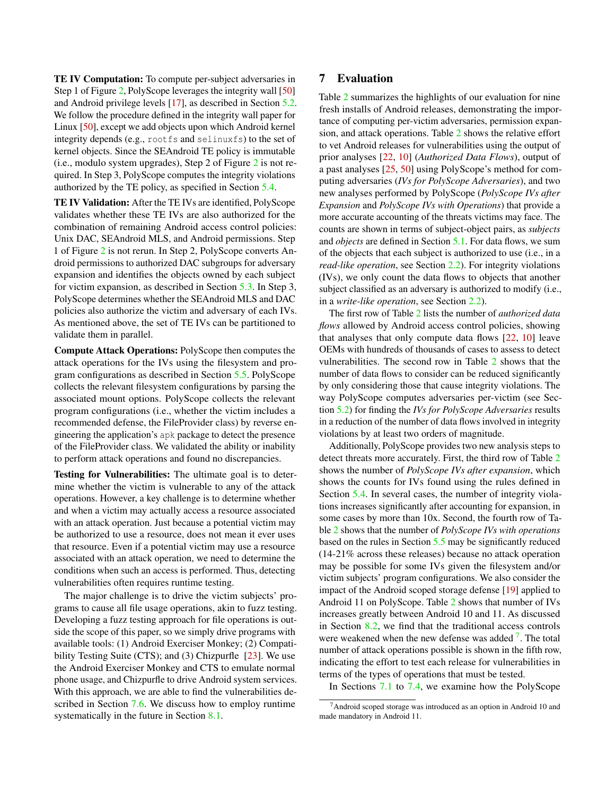TE IV Computation: To compute per-subject adversaries in Step 1 of Figure [2,](#page-3-1) PolyScope leverages the integrity wall [\[50\]](#page-16-9) and Android privilege levels [\[17\]](#page-15-16), as described in Section [5.2.](#page-6-0) We follow the procedure defined in the integrity wall paper for Linux [\[50\]](#page-16-9), except we add objects upon which Android kernel integrity depends (e.g., rootfs and selinuxfs) to the set of kernel objects. Since the SEAndroid TE policy is immutable (i.e., modulo system upgrades), Step 2 of Figure [2](#page-3-1) is not required. In Step 3, PolyScope computes the integrity violations authorized by the TE policy, as specified in Section [5.4.](#page-7-0)

TE IV Validation: After the TE IVs are identified, PolyScope validates whether these TE IVs are also authorized for the combination of remaining Android access control policies: Unix DAC, SEAndroid MLS, and Android permissions. Step 1 of Figure [2](#page-3-1) is not rerun. In Step 2, PolyScope converts Android permissions to authorized DAC subgroups for adversary expansion and identifies the objects owned by each subject for victim expansion, as described in Section [5.3.](#page-6-1) In Step 3, PolyScope determines whether the SEAndroid MLS and DAC policies also authorize the victim and adversary of each IVs. As mentioned above, the set of TE IVs can be partitioned to validate them in parallel.

Compute Attack Operations: PolyScope then computes the attack operations for the IVs using the filesystem and program configurations as described in Section [5.5.](#page-8-1) PolyScope collects the relevant filesystem configurations by parsing the associated mount options. PolyScope collects the relevant program configurations (i.e., whether the victim includes a recommended defense, the FileProvider class) by reverse engineering the application's apk package to detect the presence of the FileProvider class. We validated the ability or inability to perform attack operations and found no discrepancies.

Testing for Vulnerabilities: The ultimate goal is to determine whether the victim is vulnerable to any of the attack operations. However, a key challenge is to determine whether and when a victim may actually access a resource associated with an attack operation. Just because a potential victim may be authorized to use a resource, does not mean it ever uses that resource. Even if a potential victim may use a resource associated with an attack operation, we need to determine the conditions when such an access is performed. Thus, detecting vulnerabilities often requires runtime testing.

The major challenge is to drive the victim subjects' programs to cause all file usage operations, akin to fuzz testing. Developing a fuzz testing approach for file operations is outside the scope of this paper, so we simply drive programs with available tools: (1) Android Exerciser Monkey; (2) Compati-bility Testing Suite (CTS); and (3) Chizpurfle [\[23\]](#page-15-17). We use the Android Exerciser Monkey and CTS to emulate normal phone usage, and Chizpurfle to drive Android system services. With this approach, we are able to find the vulnerabilities described in Section [7.6.](#page-11-0) We discuss how to employ runtime systematically in the future in Section [8.1.](#page-13-2)

# <span id="page-9-0"></span>7 Evaluation

Table [2](#page-10-0) summarizes the highlights of our evaluation for nine fresh installs of Android releases, demonstrating the importance of computing per-victim adversaries, permission expansion, and attack operations. Table [2](#page-10-0) shows the relative effort to vet Android releases for vulnerabilities using the output of prior analyses [\[22,](#page-15-4) [10\]](#page-15-3) (*Authorized Data Flows*), output of a past analyses [\[25,](#page-15-5) [50\]](#page-16-9) using PolyScope's method for computing adversaries (*IVs for PolyScope Adversaries*), and two new analyses performed by PolyScope (*PolyScope IVs after Expansion* and *PolyScope IVs with Operations*) that provide a more accurate accounting of the threats victims may face. The counts are shown in terms of subject-object pairs, as *subjects* and *objects* are defined in Section [5.1.](#page-4-2) For data flows, we sum of the objects that each subject is authorized to use (i.e., in a *read-like operation*, see Section [2.2\)](#page-2-2). For integrity violations (IVs), we only count the data flows to objects that another subject classified as an adversary is authorized to modify (i.e., in a *write-like operation*, see Section [2.2\)](#page-2-2).

The first row of Table [2](#page-10-0) lists the number of *authorized data flows* allowed by Android access control policies, showing that analyses that only compute data flows [\[22,](#page-15-4) [10\]](#page-15-3) leave OEMs with hundreds of thousands of cases to assess to detect vulnerabilities. The second row in Table [2](#page-10-0) shows that the number of data flows to consider can be reduced significantly by only considering those that cause integrity violations. The way PolyScope computes adversaries per-victim (see Section [5.2\)](#page-6-0) for finding the *IVs for PolyScope Adversaries* results in a reduction of the number of data flows involved in integrity violations by at least two orders of magnitude.

Additionally, PolyScope provides two new analysis steps to detect threats more accurately. First, the third row of Table [2](#page-10-0) shows the number of *PolyScope IVs after expansion*, which shows the counts for IVs found using the rules defined in Section [5.4.](#page-7-0) In several cases, the number of integrity violations increases significantly after accounting for expansion, in some cases by more than 10x. Second, the fourth row of Table [2](#page-10-0) shows that the number of *PolyScope IVs with operations* based on the rules in Section [5.5](#page-8-1) may be significantly reduced (14-21% across these releases) because no attack operation may be possible for some IVs given the filesystem and/or victim subjects' program configurations. We also consider the impact of the Android scoped storage defense [\[19\]](#page-15-8) applied to Android 11 on PolyScope. Table [2](#page-10-0) shows that number of IVs increases greatly between Android 10 and 11. As discussed in Section [8.2,](#page-13-1) we find that the traditional access controls were weakened when the new defense was added  $\frac{7}{1}$  $\frac{7}{1}$  $\frac{7}{1}$ . The total number of attack operations possible is shown in the fifth row, indicating the effort to test each release for vulnerabilities in terms of the types of operations that must be tested.

In Sections [7.1](#page-10-1) to [7.4,](#page-11-1) we examine how the PolyScope

 $7$ Android scoped storage was introduced as an option in Android 10 and made mandatory in Android 11.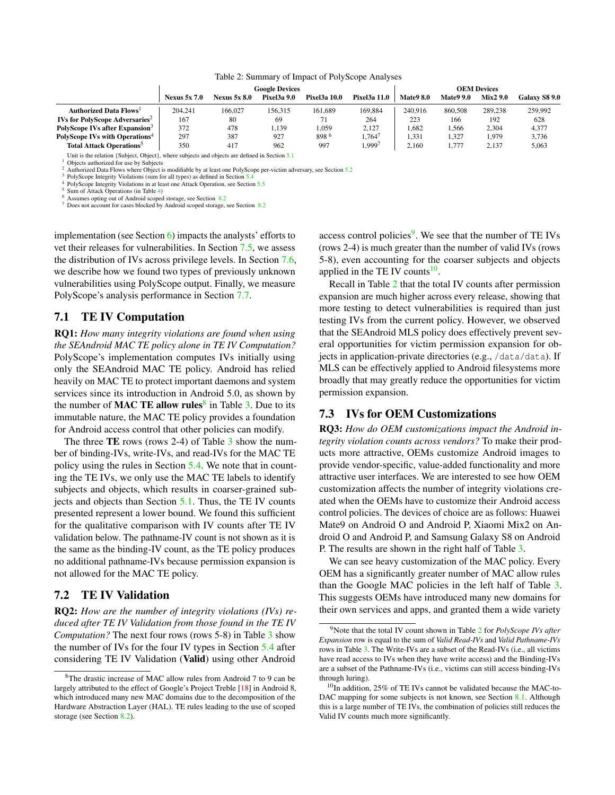<span id="page-10-0"></span>

|                                                   |                     |                     | Google Devices     | <b>OEM Devices</b>  |                     |                  |                  |                 |               |
|---------------------------------------------------|---------------------|---------------------|--------------------|---------------------|---------------------|------------------|------------------|-----------------|---------------|
|                                                   | <b>Nexus 5x 7.0</b> | <b>Nexus 5x 8.0</b> | <b>Pixel3a 9.0</b> | <b>Pixel3a 10.0</b> | <b>Pixel3a 11.0</b> | <b>Mate9 8.0</b> | <b>Mate9 9.0</b> | <b>Mix2 9.0</b> | Galaxy S8 9.0 |
| <b>Authorized Data Flows</b> <sup>1</sup>         | 204.241             | 166,027             | 156.315            | 161.689             | 169.884             | 240.916          | 860,508          | 289,238         | 259,992       |
| <b>IVs for PolyScope Adversaries</b> <sup>2</sup> | 167                 | 80                  | 69                 |                     | 264                 | 223              | 166              | 192             | 628           |
| PolyScope IVs after Expansion <sup>3</sup>        | 372                 | 478                 | 1.139              | 1.059               | 2.127               | .682             | .566             | 2.304           | 4,377         |
| PolyScope IVs with Operations <sup>4</sup>        | 297                 | 387                 | 927                | 898 6               | . 764'              | 1.331            | .327             | 1,979           | 3,736         |
| <b>Total Attack Operations</b> <sup>5</sup>       | 350                 | 417                 | 962                | 997                 | .9997               | 2.160            | 1.777            | 2.137           | 5,063         |

#### Table 2: Summary of Impact of PolyScope Analyses

Unit is the relation {Subject, Object}, where subjects and objects are defined in Section [5.1](#page-4-2) <sup>1</sup> Objects authorized for use by Subjects

<sup>2</sup> Authorized Data Flows where Object is modifiable by at least one PolyScope per-victim adversary, see Section [5.2](#page-6-0)

<sup>3</sup> PolyScope Integrity Violations (sum for all types) as defined in Section [5.4](#page-7-0)

<sup>4</sup> PolyScope Integrity Violations in at least one Attack Operation, see Section [5.5](#page-8-1)

<sup>5</sup> Sum of Attack Operations (in Table [4\)](#page-12-1)

<sup>6</sup> Assumes opting out of Android scoped storage, see Section [8.2](#page-13-1)

<sup>7</sup> Does not account for cases blocked by Android scoped storage, see Section [8.2](#page-13-1)

implementation (see Section [6\)](#page-8-0) impacts the analysts' efforts to vet their releases for vulnerabilities. In Section [7.5,](#page-11-2) we assess the distribution of IVs across privilege levels. In Section [7.6,](#page-11-0) we describe how we found two types of previously unknown vulnerabilities using PolyScope output. Finally, we measure PolyScope's analysis performance in Section [7.7.](#page-12-0)

#### <span id="page-10-1"></span>7.1 TE IV Computation

RQ1: *How many integrity violations are found when using the SEAndroid MAC TE policy alone in TE IV Computation?* PolyScope's implementation computes IVs initially using only the SEAndroid MAC TE policy. Android has relied heavily on MAC TE to protect important daemons and system services since its introduction in Android 5.0, as shown by the number of **MAC TE allow rules**<sup>[8](#page-0-0)</sup> in Table [3.](#page-11-3) Due to its immutable nature, the MAC TE policy provides a foundation for Android access control that other policies can modify.

The three TE rows (rows 2-4) of Table [3](#page-11-3) show the number of binding-IVs, write-IVs, and read-IVs for the MAC TE policy using the rules in Section [5.4.](#page-7-0) We note that in counting the TE IVs, we only use the MAC TE labels to identify subjects and objects, which results in coarser-grained subjects and objects than Section [5.1.](#page-4-2) Thus, the TE IV counts presented represent a lower bound. We found this sufficient for the qualitative comparison with IV counts after TE IV validation below. The pathname-IV count is not shown as it is the same as the binding-IV count, as the TE policy produces no additional pathname-IVs because permission expansion is not allowed for the MAC TE policy.

#### 7.2 TE IV Validation

RQ2: *How are the number of integrity violations (IVs) reduced after TE IV Validation from those found in the TE IV Computation?* The next four rows (rows 5-8) in Table [3](#page-11-3) show the number of IVs for the four IV types in Section [5.4](#page-7-0) after considering TE IV Validation (Valid) using other Android

access control policies<sup>[9](#page-0-0)</sup>. We see that the number of TE IVs (rows 2-4) is much greater than the number of valid IVs (rows 5-8), even accounting for the coarser subjects and objects applied in the TE IV counts $10$ .

Recall in Table [2](#page-10-0) that the total IV counts after permission expansion are much higher across every release, showing that more testing to detect vulnerabilities is required than just testing IVs from the current policy. However, we observed that the SEAndroid MLS policy does effectively prevent several opportunities for victim permission expansion for objects in application-private directories (e.g., /data/data). If MLS can be effectively applied to Android filesystems more broadly that may greatly reduce the opportunities for victim permission expansion.

#### 7.3 IVs for OEM Customizations

RQ3: *How do OEM customizations impact the Android integrity violation counts across vendors?* To make their products more attractive, OEMs customize Android images to provide vendor-specific, value-added functionality and more attractive user interfaces. We are interested to see how OEM customization affects the number of integrity violations created when the OEMs have to customize their Android access control policies. The devices of choice are as follows: Huawei Mate9 on Android O and Android P, Xiaomi Mix2 on Android O and Android P, and Samsung Galaxy S8 on Android P. The results are shown in the right half of Table [3.](#page-11-3)

We can see heavy customization of the MAC policy. Every OEM has a significantly greater number of MAC allow rules than the Google MAC policies in the left half of Table [3.](#page-11-3) This suggests OEMs have introduced many new domains for their own services and apps, and granted them a wide variety

<sup>8</sup>The drastic increase of MAC allow rules from Android 7 to 9 can be largely attributed to the effect of Google's Project Treble [\[18\]](#page-15-18) in Android 8, which introduced many new MAC domains due to the decomposition of the Hardware Abstraction Layer (HAL). TE rules leading to the use of scoped storage (see Section [8.2\)](#page-13-1).

<sup>9</sup>Note that the total IV count shown in Table [2](#page-10-0) for *PolyScope IVs after Expansion* row is equal to the sum of *Valid Read-IVs* and *Valid Pathname-IVs* rows in Table [3.](#page-11-3) The Write-IVs are a subset of the Read-IVs (i.e., all victims have read access to IVs when they have write access) and the Binding-IVs are a subset of the Pathname-IVs (i.e., victims can still access binding-IVs through luring).

 $10$ In addition, 25% of TE IVs cannot be validated because the MAC-to-DAC mapping for some subjects is not known, see Section [8.1.](#page-13-2) Although this is a large number of TE IVs, the combination of policies still reduces the Valid IV counts much more significantly.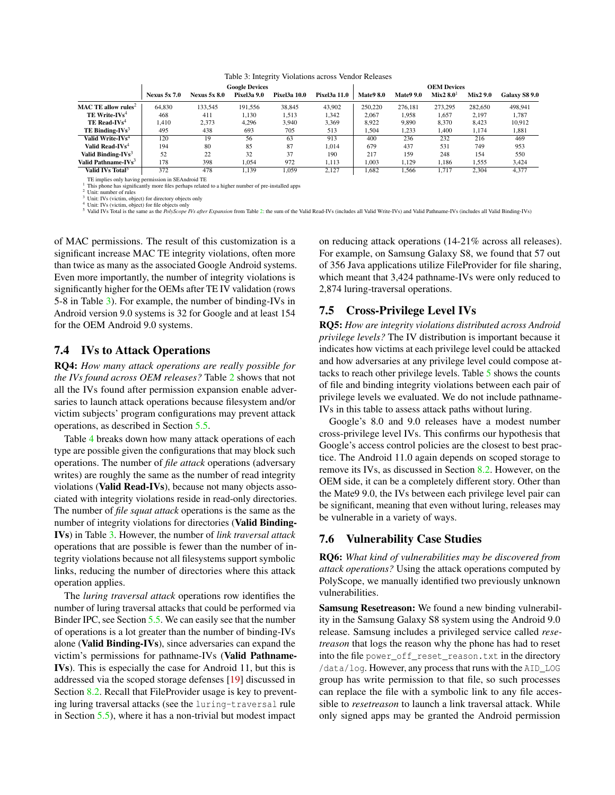<span id="page-11-3"></span>

|                                 |                     |                     | <b>Google Devices</b> |                     | <b>OEM Devices</b>  |                  |                  |                       |                 |               |
|---------------------------------|---------------------|---------------------|-----------------------|---------------------|---------------------|------------------|------------------|-----------------------|-----------------|---------------|
|                                 | <b>Nexus 5x 7.0</b> | <b>Nexus 5x 8.0</b> | <b>Pixel3a 9.0</b>    | <b>Pixel3a 10.0</b> | <b>Pixel3a 11.0</b> | <b>Mate9 8.0</b> | <b>Mate9 9.0</b> | Mix2 8.0 <sup>1</sup> | <b>Mix2 9.0</b> | Galaxy S8 9.0 |
| MAC TE allow rules <sup>2</sup> | 64.830              | 133.545             | 191.556               | 38.845              | 43.902              | 250,220          | 276.181          | 273.295               | 282,650         | 498.941       |
| TE Write- $IVs4$                | 468                 | 411                 | 1.130                 | 1.513               | 1,342               | 2.067            | 1.958            | 1.657                 | 2.197           | 1.787         |
| TE Read-IVs <sup>4</sup>        | 1.410               | 2,373               | 4.296                 | 3.940               | 3,369               | 8.922            | 9,890            | 8.370                 | 8.423           | 10.912        |
| TE Binding- $IVs3$              | 495                 | 438                 | 693                   | 705                 | 513                 | 1,504            | 1.233            | 1.400                 | 1.174           | 1,881         |
| Valid Write-IVs <sup>4</sup>    | 120                 | 19                  | 56                    | 63                  | 913                 | 400              | 236              | 232                   | 216             | 469           |
| Valid Read-IVs <sup>4</sup>     | 194                 | 80                  | 85                    | 87                  | 1.014               | 679              | 437              | 531                   | 749             | 953           |
| Valid Binding-IVs <sup>3</sup>  | 52                  | 22                  | 32                    | 37                  | 190                 | 217              | 159              | 248                   | 154             | 550           |
| Valid Pathname-IVs <sup>3</sup> | 178                 | 398                 | 1.054                 | 972                 | 1.113               | 1.003            | 1.129            | 1.186                 | 1.555           | 3,424         |
| Valid IVs Total <sup>5</sup>    | 372                 | 478                 | 1.139                 | 1.059               | 2.127               | 1.682            | 1.566            | 1.717                 | 2.304           | 4.377         |

# Table 3: Integrity Violations across Vendor Releases

TE implies only having permission in SEAndroid TE <sup>1</sup> This phone has significantly more files perhaps related to a higher number of pre-installed apps

<sup>2</sup> Unit: number of rules

<sup>3</sup> Unit: IVs (victim, object) for directory objects only Unit: IVs (victim, object) for file objects only

<sup>5</sup> Valid IVs Total is the same as the *PolyScope IVs after Expansion* from Table [2:](#page-10-0) the sum of the Valid Read-IVs (includes all Valid Write-IVs) and Valid Pathname-IVs (includes all Valid Binding-IVs)

of MAC permissions. The result of this customization is a significant increase MAC TE integrity violations, often more than twice as many as the associated Google Android systems. Even more importantly, the number of integrity violations is significantly higher for the OEMs after TE IV validation (rows 5-8 in Table [3\)](#page-11-3). For example, the number of binding-IVs in Android version 9.0 systems is 32 for Google and at least 154 for the OEM Android 9.0 systems.

#### <span id="page-11-1"></span>7.4 IVs to Attack Operations

RQ4: *How many attack operations are really possible for the IVs found across OEM releases?* Table [2](#page-10-0) shows that not all the IVs found after permission expansion enable adversaries to launch attack operations because filesystem and/or victim subjects' program configurations may prevent attack operations, as described in Section [5.5.](#page-8-1)

Table [4](#page-12-1) breaks down how many attack operations of each type are possible given the configurations that may block such operations. The number of *file attack* operations (adversary writes) are roughly the same as the number of read integrity violations (Valid Read-IVs), because not many objects associated with integrity violations reside in read-only directories. The number of *file squat attack* operations is the same as the number of integrity violations for directories (Valid Binding-IVs) in Table [3.](#page-11-3) However, the number of *link traversal attack* operations that are possible is fewer than the number of integrity violations because not all filesystems support symbolic links, reducing the number of directories where this attack operation applies.

The *luring traversal attack* operations row identifies the number of luring traversal attacks that could be performed via Binder IPC, see Section [5.5.](#page-8-1) We can easily see that the number of operations is a lot greater than the number of binding-IVs alone (Valid Binding-IVs), since adversaries can expand the victim's permissions for pathname-IVs (Valid Pathname-IVs). This is especially the case for Android 11, but this is addressed via the scoped storage defenses [\[19\]](#page-15-8) discussed in Section [8.2.](#page-13-1) Recall that FileProvider usage is key to preventing luring traversal attacks (see the luring-traversal rule in Section [5.5\)](#page-8-1), where it has a non-trivial but modest impact

on reducing attack operations (14-21% across all releases). For example, on Samsung Galaxy S8, we found that 57 out of 356 Java applications utilize FileProvider for file sharing, which meant that 3,424 pathname-IVs were only reduced to 2,874 luring-traversal operations.

#### <span id="page-11-2"></span>7.5 Cross-Privilege Level IVs

RQ5: *How are integrity violations distributed across Android privilege levels?* The IV distribution is important because it indicates how victims at each privilege level could be attacked and how adversaries at any privilege level could compose attacks to reach other privilege levels. Table [5](#page-12-2) shows the counts of file and binding integrity violations between each pair of privilege levels we evaluated. We do not include pathname-IVs in this table to assess attack paths without luring.

Google's 8.0 and 9.0 releases have a modest number cross-privilege level IVs. This confirms our hypothesis that Google's access control policies are the closest to best practice. The Android 11.0 again depends on scoped storage to remove its IVs, as discussed in Section [8.2.](#page-13-1) However, on the OEM side, it can be a completely different story. Other than the Mate9 9.0, the IVs between each privilege level pair can be significant, meaning that even without luring, releases may be vulnerable in a variety of ways.

#### <span id="page-11-0"></span>7.6 Vulnerability Case Studies

RQ6: *What kind of vulnerabilities may be discovered from attack operations?* Using the attack operations computed by PolyScope, we manually identified two previously unknown vulnerabilities.

Samsung Resetreason: We found a new binding vulnerability in the Samsung Galaxy S8 system using the Android 9.0 release. Samsung includes a privileged service called *resetreason* that logs the reason why the phone has had to reset into the file power\_off\_reset\_reason.txt in the directory /data/log. However, any process that runs with the AID\_LOG group has write permission to that file, so such processes can replace the file with a symbolic link to any file accessible to *resetreason* to launch a link traversal attack. While only signed apps may be granted the Android permission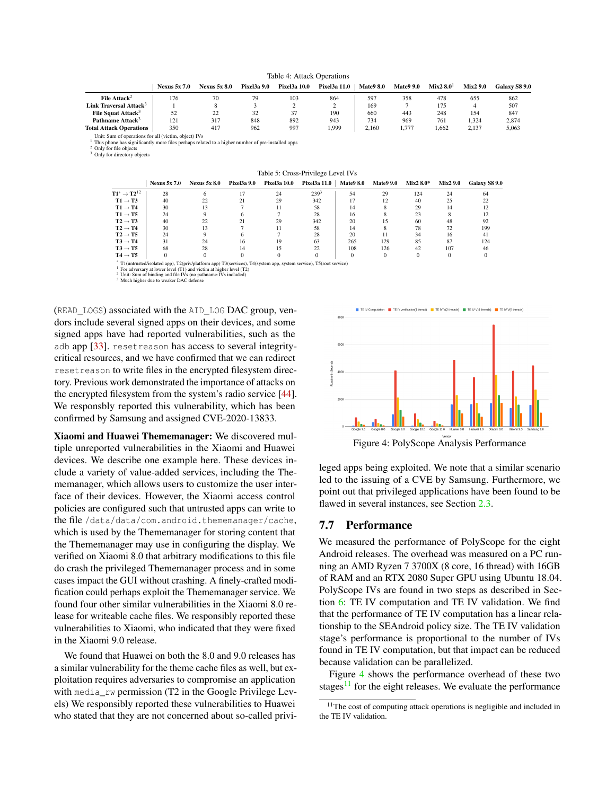<span id="page-12-1"></span>

|                                                       |                     |                     |                    | raore refugerations |                     |                  |                  |                    |                 |                      |
|-------------------------------------------------------|---------------------|---------------------|--------------------|---------------------|---------------------|------------------|------------------|--------------------|-----------------|----------------------|
|                                                       | <b>Nexus 5x 7.0</b> | <b>Nexus 5x 8.0</b> | <b>Pixel3a 9.0</b> | Pixel3a 10.0        | <b>Pixel3a 11.0</b> | <b>Mate9 8.0</b> | <b>Mate9 9.0</b> | Mix2 $8.0^{\circ}$ | <b>Mix2 9.0</b> | <b>Galaxy S8 9.0</b> |
| File Attack <sup>2</sup>                              | 176                 | 70                  | 79                 | 103                 | 864                 | 597              | 358              | 478                | 655             | 862                  |
| Link Traversal Attack <sup>3</sup>                    |                     |                     |                    |                     |                     | 169              |                  | 175                |                 | 507                  |
| File Squat Attack <sup>3</sup>                        | 52                  | 22                  | 32                 | 37                  | 190                 | 660              | 443              | 248                | 154             | 847                  |
| Pathname Attack <sup>3</sup>                          | 121                 | 317                 | 848                | 892                 | 943                 | 734              | 969              | 761                | 1.324           | 2.874                |
| <b>Total Attack Operations</b>                        | 350                 | 417                 | 962                | 997                 | 1,999               | 2.160            | 1.777            | 1.662              | 2.137           | 5,063                |
| Unit: Sum of operations for all (victim, object) IVs. |                     |                     |                    |                     |                     |                  |                  |                    |                 |                      |

Table 4: Attack Operations

Unit: Sum of operations for all (victim, object) IVs <sup>1</sup> This phone has significantly more files perhaps related to a higher number of pre-installed apps

<sup>2</sup> Only for file objects <sup>3</sup> Only for directory objects

Table 5: Cross-Privilege Level IVs

<span id="page-12-2"></span>

|                                              | <b>Nexus 5x 7.0</b> | <b>Nexus 5x 8.0</b> | Pixel3a 9.0 | Pixel3a 10.0 | Pixel3a 11.0     | <b>Mate9 8.0</b> | <b>Mate9 9.0</b> | $Mix2 8.0*$ | <b>Mix2 9.0</b> | Galaxy S8 9.0 |
|----------------------------------------------|---------------------|---------------------|-------------|--------------|------------------|------------------|------------------|-------------|-----------------|---------------|
| $\mathrm{T1}^* \rightarrow \mathrm{T2^{12}}$ | 28                  |                     |             | 24           | 239 <sup>3</sup> | 54               | 29               | 124         | 24              | 64            |
| $T1 \rightarrow T3$                          | 40                  |                     |             | 29           | 342              |                  | 12               | 40          | 25              |               |
| $T1 \rightarrow T4$                          | 30                  | 13                  |             |              | 58               | 14               |                  | 29          | 14              |               |
| $T1 \rightarrow T5$                          | 24                  |                     |             |              | 28               | 16               |                  | 23          |                 |               |
| $T2 \rightarrow T3$                          | 40                  | 22                  |             | 29           | 342              | 20               | 15               | 60          | 48              | 92            |
| $T2 \rightarrow T4$                          | 30                  |                     |             |              | 58               | 14               |                  | 78          | 72              | 199           |
| $T2 \rightarrow T5$                          | 24                  |                     |             |              | 28               | 20               |                  | 34          | 16              | 41            |
| $T3 \rightarrow T4$                          | 31                  | 24                  |             | 19           | 63               | 265              | 129              | 85          | 87              | 124           |
| $T3 \rightarrow T5$                          | 68                  | 28                  | 14          | 15           | 22               | 108              | 126              | 42          | 107             | 46            |
| $T4 \rightarrow T5$                          |                     |                     |             |              |                  |                  |                  |             |                 |               |
|                                              |                     |                     |             |              |                  |                  |                  |             |                 |               |

\* T1(untrusted/isolated app), T2(priv/platform app) T3(services), T4(system app, system service), T5(root service)

<sup>1</sup> For adversary at lower level (T1) and victim at higher level (T2)  $2^2$  Unit: Sum of binding and file IVs (no pathname-IVs included)  $3^3$  Much higher due to weaker DAC defense

(READ\_LOGS) associated with the AID\_LOG DAC group, vendors include several signed apps on their devices, and some signed apps have had reported vulnerabilities, such as the adb app [\[33\]](#page-16-13). resetreason has access to several integritycritical resources, and we have confirmed that we can redirect resetreason to write files in the encrypted filesystem directory. Previous work demonstrated the importance of attacks on the encrypted filesystem from the system's radio service [\[44\]](#page-16-14). We responsbly reported this vulnerability, which has been confirmed by Samsung and assigned CVE-2020-13833.

Xiaomi and Huawei Thememanager: We discovered multiple unreported vulnerabilities in the Xiaomi and Huawei devices. We describe one example here. These devices include a variety of value-added services, including the Thememanager, which allows users to customize the user interface of their devices. However, the Xiaomi access control policies are configured such that untrusted apps can write to the file /data/data/com.android.thememanager/cache, which is used by the Thememanager for storing content that the Thememanager may use in configuring the display. We verified on Xiaomi 8.0 that arbitrary modifications to this file do crash the privileged Thememanager process and in some cases impact the GUI without crashing. A finely-crafted modification could perhaps exploit the Thememanager service. We found four other similar vulnerabilities in the Xiaomi 8.0 release for writeable cache files. We responsibly reported these vulnerabilities to Xiaomi, who indicated that they were fixed in the Xiaomi 9.0 release.

We found that Huawei on both the 8.0 and 9.0 releases has a similar vulnerability for the theme cache files as well, but exploitation requires adversaries to compromise an application with media rw permission (T2 in the Google Privilege Levels) We responsibly reported these vulnerabilities to Huawei who stated that they are not concerned about so-called privi-



<span id="page-12-3"></span>Figure 4: PolyScope Analysis Performance

leged apps being exploited. We note that a similar scenario led to the issuing of a CVE by Samsung. Furthermore, we point out that privileged applications have been found to be flawed in several instances, see Section [2.3.](#page-2-3)

#### <span id="page-12-0"></span>7.7 Performance

We measured the performance of PolyScope for the eight Android releases. The overhead was measured on a PC running an AMD Ryzen 7 3700X (8 core, 16 thread) with 16GB of RAM and an RTX 2080 Super GPU using Ubuntu 18.04. PolyScope IVs are found in two steps as described in Section [6:](#page-8-0) TE IV computation and TE IV validation. We find that the performance of TE IV computation has a linear relationship to the SEAndroid policy size. The TE IV validation stage's performance is proportional to the number of IVs found in TE IV computation, but that impact can be reduced because validation can be parallelized.

Figure [4](#page-12-3) shows the performance overhead of these two stages $11$  for the eight releases. We evaluate the performance

<sup>&</sup>lt;sup>11</sup>The cost of computing attack operations is negligible and included in the TE IV validation.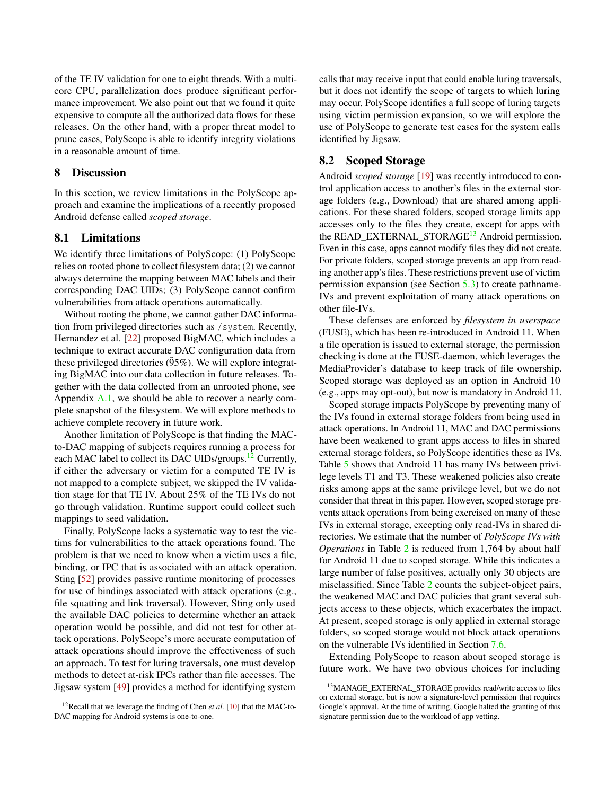of the TE IV validation for one to eight threads. With a multicore CPU, parallelization does produce significant performance improvement. We also point out that we found it quite expensive to compute all the authorized data flows for these releases. On the other hand, with a proper threat model to prune cases, PolyScope is able to identify integrity violations in a reasonable amount of time.

#### <span id="page-13-0"></span>8 Discussion

In this section, we review limitations in the PolyScope approach and examine the implications of a recently proposed Android defense called *scoped storage*.

#### <span id="page-13-2"></span>8.1 Limitations

We identify three limitations of PolyScope: (1) PolyScope relies on rooted phone to collect filesystem data; (2) we cannot always determine the mapping between MAC labels and their corresponding DAC UIDs; (3) PolyScope cannot confirm vulnerabilities from attack operations automatically.

Without rooting the phone, we cannot gather DAC information from privileged directories such as /system. Recently, Hernandez et al. [\[22\]](#page-15-4) proposed BigMAC, which includes a technique to extract accurate DAC configuration data from these privileged directories  $(95\%)$ . We will explore integrating BigMAC into our data collection in future releases. Together with the data collected from an unrooted phone, see Appendix  $A.1$ , we should be able to recover a nearly complete snapshot of the filesystem. We will explore methods to achieve complete recovery in future work.

Another limitation of PolyScope is that finding the MACto-DAC mapping of subjects requires running a process for each MAC label to collect its DAC UIDs/groups.<sup>[12](#page-0-0)</sup> Currently, if either the adversary or victim for a computed TE IV is not mapped to a complete subject, we skipped the IV validation stage for that TE IV. About 25% of the TE IVs do not go through validation. Runtime support could collect such mappings to seed validation.

Finally, PolyScope lacks a systematic way to test the victims for vulnerabilities to the attack operations found. The problem is that we need to know when a victim uses a file, binding, or IPC that is associated with an attack operation. Sting [\[52\]](#page-17-4) provides passive runtime monitoring of processes for use of bindings associated with attack operations (e.g., file squatting and link traversal). However, Sting only used the available DAC policies to determine whether an attack operation would be possible, and did not test for other attack operations. PolyScope's more accurate computation of attack operations should improve the effectiveness of such an approach. To test for luring traversals, one must develop methods to detect at-risk IPCs rather than file accesses. The Jigsaw system [\[49\]](#page-16-15) provides a method for identifying system

calls that may receive input that could enable luring traversals, but it does not identify the scope of targets to which luring may occur. PolyScope identifies a full scope of luring targets using victim permission expansion, so we will explore the use of PolyScope to generate test cases for the system calls identified by Jigsaw.

#### <span id="page-13-1"></span>8.2 Scoped Storage

Android *scoped storage* [\[19\]](#page-15-8) was recently introduced to control application access to another's files in the external storage folders (e.g., Download) that are shared among applications. For these shared folders, scoped storage limits app accesses only to the files they create, except for apps with the READ\_EXTERNAL\_STORAGE<sup>[13](#page-0-0)</sup> Android permission. Even in this case, apps cannot modify files they did not create. For private folders, scoped storage prevents an app from reading another app's files. These restrictions prevent use of victim permission expansion (see Section [5.3\)](#page-6-1) to create pathname-IVs and prevent exploitation of many attack operations on other file-IVs.

These defenses are enforced by *filesystem in userspace* (FUSE), which has been re-introduced in Android 11. When a file operation is issued to external storage, the permission checking is done at the FUSE-daemon, which leverages the MediaProvider's database to keep track of file ownership. Scoped storage was deployed as an option in Android 10 (e.g., apps may opt-out), but now is mandatory in Android 11.

Scoped storage impacts PolyScope by preventing many of the IVs found in external storage folders from being used in attack operations. In Android 11, MAC and DAC permissions have been weakened to grant apps access to files in shared external storage folders, so PolyScope identifies these as IVs. Table [5](#page-12-2) shows that Android 11 has many IVs between privilege levels T1 and T3. These weakened policies also create risks among apps at the same privilege level, but we do not consider that threat in this paper. However, scoped storage prevents attack operations from being exercised on many of these IVs in external storage, excepting only read-IVs in shared directories. We estimate that the number of *PolyScope IVs with Operations* in Table [2](#page-10-0) is reduced from 1,764 by about half for Android 11 due to scoped storage. While this indicates a large number of false positives, actually only 30 objects are misclassified. Since Table [2](#page-10-0) counts the subject-object pairs, the weakened MAC and DAC policies that grant several subjects access to these objects, which exacerbates the impact. At present, scoped storage is only applied in external storage folders, so scoped storage would not block attack operations on the vulnerable IVs identified in Section [7.6.](#page-11-0)

Extending PolyScope to reason about scoped storage is future work. We have two obvious choices for including

<sup>12</sup>Recall that we leverage the finding of Chen *et al.* [\[10\]](#page-15-3) that the MAC-to-DAC mapping for Android systems is one-to-one.

<sup>13</sup>MANAGE\_EXTERNAL\_STORAGE provides read/write access to files on external storage, but is now a signature-level permission that requires Google's approval. At the time of writing, Google halted the granting of this signature permission due to the workload of app vetting.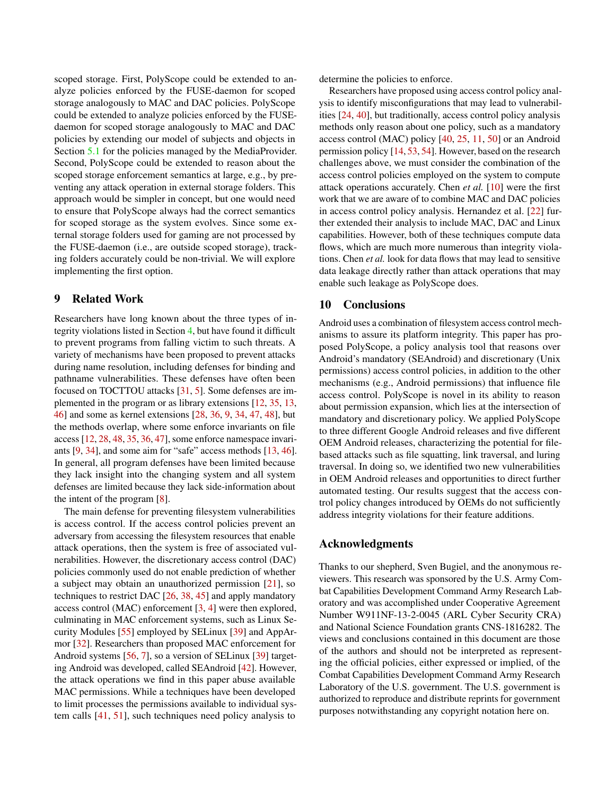scoped storage. First, PolyScope could be extended to analyze policies enforced by the FUSE-daemon for scoped storage analogously to MAC and DAC policies. PolyScope could be extended to analyze policies enforced by the FUSEdaemon for scoped storage analogously to MAC and DAC policies by extending our model of subjects and objects in Section [5.1](#page-4-2) for the policies managed by the MediaProvider. Second, PolyScope could be extended to reason about the scoped storage enforcement semantics at large, e.g., by preventing any attack operation in external storage folders. This approach would be simpler in concept, but one would need to ensure that PolyScope always had the correct semantics for scoped storage as the system evolves. Since some external storage folders used for gaming are not processed by the FUSE-daemon (i.e., are outside scoped storage), tracking folders accurately could be non-trivial. We will explore implementing the first option.

#### <span id="page-14-0"></span>9 Related Work

Researchers have long known about the three types of integrity violations listed in Section [4,](#page-4-0) but have found it difficult to prevent programs from falling victim to such threats. A variety of mechanisms have been proposed to prevent attacks during name resolution, including defenses for binding and pathname vulnerabilities. These defenses have often been focused on TOCTTOU attacks [\[31,](#page-16-7) [5\]](#page-15-12). Some defenses are implemented in the program or as library extensions [\[12,](#page-15-19) [35,](#page-16-16) [13,](#page-15-20) [46\]](#page-16-17) and some as kernel extensions [\[28,](#page-16-18) [36,](#page-16-19) [9,](#page-15-21) [34,](#page-16-20) [47,](#page-16-21) [48\]](#page-16-22), but the methods overlap, where some enforce invariants on file access [\[12,](#page-15-19) [28,](#page-16-18) [48,](#page-16-22) [35,](#page-16-16) [36,](#page-16-19) [47\]](#page-16-21), some enforce namespace invariants [\[9,](#page-15-21) [34\]](#page-16-20), and some aim for "safe" access methods [\[13,](#page-15-20) [46\]](#page-16-17). In general, all program defenses have been limited because they lack insight into the changing system and all system defenses are limited because they lack side-information about the intent of the program [\[8\]](#page-15-22).

The main defense for preventing filesystem vulnerabilities is access control. If the access control policies prevent an adversary from accessing the filesystem resources that enable attack operations, then the system is free of associated vulnerabilities. However, the discretionary access control (DAC) policies commonly used do not enable prediction of whether a subject may obtain an unauthorized permission [\[21\]](#page-15-7), so techniques to restrict DAC [\[26,](#page-16-10) [38,](#page-16-11) [45\]](#page-16-12) and apply mandatory access control (MAC) enforcement [\[3,](#page-15-15) [4\]](#page-15-9) were then explored, culminating in MAC enforcement systems, such as Linux Security Modules [\[55\]](#page-17-5) employed by SELinux [\[39\]](#page-16-8) and AppArmor [\[32\]](#page-16-23). Researchers than proposed MAC enforcement for Android systems [\[56,](#page-17-6) [7\]](#page-15-23), so a version of SELinux [\[39\]](#page-16-8) targeting Android was developed, called SEAndroid [\[42\]](#page-16-1). However, the attack operations we find in this paper abuse available MAC permissions. While a techniques have been developed to limit processes the permissions available to individual system calls [\[41,](#page-16-24) [51\]](#page-16-25), such techniques need policy analysis to

determine the policies to enforce.

Researchers have proposed using access control policy analysis to identify misconfigurations that may lead to vulnerabilities [\[24,](#page-15-0) [40\]](#page-16-4), but traditionally, access control policy analysis methods only reason about one policy, such as a mandatory access control (MAC) policy [\[40,](#page-16-4) [25,](#page-15-5) [11,](#page-15-6) [50\]](#page-16-9) or an Android permission policy [\[14,](#page-15-1) [53,](#page-17-0) [54\]](#page-17-1). However, based on the research challenges above, we must consider the combination of the access control policies employed on the system to compute attack operations accurately. Chen *et al.* [\[10\]](#page-15-3) were the first work that we are aware of to combine MAC and DAC policies in access control policy analysis. Hernandez et al. [\[22\]](#page-15-4) further extended their analysis to include MAC, DAC and Linux capabilities. However, both of these techniques compute data flows, which are much more numerous than integrity violations. Chen *et al.* look for data flows that may lead to sensitive data leakage directly rather than attack operations that may enable such leakage as PolyScope does.

#### <span id="page-14-1"></span>10 Conclusions

Android uses a combination of filesystem access control mechanisms to assure its platform integrity. This paper has proposed PolyScope, a policy analysis tool that reasons over Android's mandatory (SEAndroid) and discretionary (Unix permissions) access control policies, in addition to the other mechanisms (e.g., Android permissions) that influence file access control. PolyScope is novel in its ability to reason about permission expansion, which lies at the intersection of mandatory and discretionary policy. We applied PolyScope to three different Google Android releases and five different OEM Android releases, characterizing the potential for filebased attacks such as file squatting, link traversal, and luring traversal. In doing so, we identified two new vulnerabilities in OEM Android releases and opportunities to direct further automated testing. Our results suggest that the access control policy changes introduced by OEMs do not sufficiently address integrity violations for their feature additions.

#### Acknowledgments

Thanks to our shepherd, Sven Bugiel, and the anonymous reviewers. This research was sponsored by the U.S. Army Combat Capabilities Development Command Army Research Laboratory and was accomplished under Cooperative Agreement Number W911NF-13-2-0045 (ARL Cyber Security CRA) and National Science Foundation grants CNS-1816282. The views and conclusions contained in this document are those of the authors and should not be interpreted as representing the official policies, either expressed or implied, of the Combat Capabilities Development Command Army Research Laboratory of the U.S. government. The U.S. government is authorized to reproduce and distribute reprints for government purposes notwithstanding any copyright notation here on.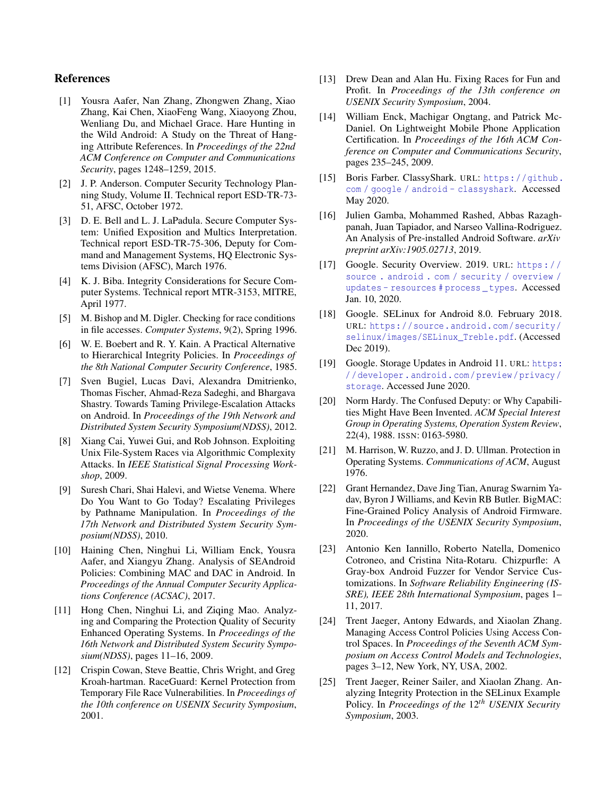# References

- <span id="page-15-2"></span>[1] Yousra Aafer, Nan Zhang, Zhongwen Zhang, Xiao Zhang, Kai Chen, XiaoFeng Wang, Xiaoyong Zhou, Wenliang Du, and Michael Grace. Hare Hunting in the Wild Android: A Study on the Threat of Hanging Attribute References. In *Proceedings of the 22nd ACM Conference on Computer and Communications Security*, pages 1248–1259, 2015.
- <span id="page-15-13"></span>[2] J. P. Anderson. Computer Security Technology Planning Study, Volume II. Technical report ESD-TR-73- 51, AFSC, October 1972.
- <span id="page-15-15"></span>[3] D. E. Bell and L. J. LaPadula. Secure Computer System: Unified Exposition and Multics Interpretation. Technical report ESD-TR-75-306, Deputy for Command and Management Systems, HQ Electronic Systems Division (AFSC), March 1976.
- <span id="page-15-9"></span>[4] K. J. Biba. Integrity Considerations for Secure Computer Systems. Technical report MTR-3153, MITRE, April 1977.
- <span id="page-15-12"></span>[5] M. Bishop and M. Digler. Checking for race conditions in file accesses. *Computer Systems*, 9(2), Spring 1996.
- <span id="page-15-14"></span>[6] W. E. Boebert and R. Y. Kain. A Practical Alternative to Hierarchical Integrity Policies. In *Proceedings of the 8th National Computer Security Conference*, 1985.
- <span id="page-15-23"></span>[7] Sven Bugiel, Lucas Davi, Alexandra Dmitrienko, Thomas Fischer, Ahmad-Reza Sadeghi, and Bhargava Shastry. Towards Taming Privilege-Escalation Attacks on Android. In *Proceedings of the 19th Network and Distributed System Security Symposium(NDSS)*, 2012.
- <span id="page-15-22"></span>[8] Xiang Cai, Yuwei Gui, and Rob Johnson. Exploiting Unix File-System Races via Algorithmic Complexity Attacks. In *IEEE Statistical Signal Processing Workshop*, 2009.
- <span id="page-15-21"></span>[9] Suresh Chari, Shai Halevi, and Wietse Venema. Where Do You Want to Go Today? Escalating Privileges by Pathname Manipulation. In *Proceedings of the 17th Network and Distributed System Security Symposium(NDSS)*, 2010.
- <span id="page-15-3"></span>[10] Haining Chen, Ninghui Li, William Enck, Yousra Aafer, and Xiangyu Zhang. Analysis of SEAndroid Policies: Combining MAC and DAC in Android. In *Proceedings of the Annual Computer Security Applications Conference (ACSAC)*, 2017.
- <span id="page-15-6"></span>[11] Hong Chen, Ninghui Li, and Ziqing Mao. Analyzing and Comparing the Protection Quality of Security Enhanced Operating Systems. In *Proceedings of the 16th Network and Distributed System Security Symposium(NDSS)*, pages 11–16, 2009.
- <span id="page-15-19"></span>[12] Crispin Cowan, Steve Beattie, Chris Wright, and Greg Kroah-hartman. RaceGuard: Kernel Protection from Temporary File Race Vulnerabilities. In *Proceedings of the 10th conference on USENIX Security Symposium*, 2001.
- <span id="page-15-20"></span>[13] Drew Dean and Alan Hu. Fixing Races for Fun and Profit. In *Proceedings of the 13th conference on USENIX Security Symposium*, 2004.
- <span id="page-15-1"></span>[14] William Enck, Machigar Ongtang, and Patrick Mc-Daniel. On Lightweight Mobile Phone Application Certification. In *Proceedings of the 16th ACM Conference on Computer and Communications Security*, pages 235–245, 2009.
- <span id="page-15-24"></span>[15] Boris Farber. ClassyShark. URL: [https://github.](https://github.com/google/android-classyshark) [com / google / android - classyshark](https://github.com/google/android-classyshark). Accessed May 2020.
- <span id="page-15-10"></span>[16] Julien Gamba, Mohammed Rashed, Abbas Razaghpanah, Juan Tapiador, and Narseo Vallina-Rodriguez. An Analysis of Pre-installed Android Software. *arXiv preprint arXiv:1905.02713*, 2019.
- <span id="page-15-16"></span>[17] Google. Security Overview. 2019. URL: [https : / /](https://source.android.com/security/overview/updates-resources#process_types) [source . android . com / security / overview /](https://source.android.com/security/overview/updates-resources#process_types) [updates - resources # process \\_ types](https://source.android.com/security/overview/updates-resources#process_types). Accessed Jan. 10, 2020.
- <span id="page-15-18"></span>[18] Google. SELinux for Android 8.0. February 2018. URL: [https://source.android.com/security/](https://source.android.com/security/selinux/images/SELinux_Treble.pdf) [selinux/images/SELinux\\_Treble.pdf](https://source.android.com/security/selinux/images/SELinux_Treble.pdf). (Accessed Dec 2019).
- <span id="page-15-8"></span>[19] Google. Storage Updates in Android 11. URL: [https:](https://developer.android.com/preview/privacy/storage) [/ / developer . android . com / preview / privacy /](https://developer.android.com/preview/privacy/storage) [storage](https://developer.android.com/preview/privacy/storage). Accessed June 2020.
- <span id="page-15-11"></span>[20] Norm Hardy. The Confused Deputy: or Why Capabilities Might Have Been Invented. *ACM Special Interest Group in Operating Systems, Operation System Review*, 22(4), 1988. ISSN: 0163-5980.
- <span id="page-15-7"></span>[21] M. Harrison, W. Ruzzo, and J. D. Ullman. Protection in Operating Systems. *Communications of ACM*, August 1976.
- <span id="page-15-4"></span>[22] Grant Hernandez, Dave Jing Tian, Anurag Swarnim Yadav, Byron J Williams, and Kevin RB Butler. BigMAC: Fine-Grained Policy Analysis of Android Firmware. In *Proceedings of the USENIX Security Symposium*, 2020.
- <span id="page-15-17"></span>[23] Antonio Ken Iannillo, Roberto Natella, Domenico Cotroneo, and Cristina Nita-Rotaru. Chizpurfle: A Gray-box Android Fuzzer for Vendor Service Customizations. In *Software Reliability Engineering (IS-SRE), IEEE 28th International Symposium*, pages 1– 11, 2017.
- <span id="page-15-0"></span>[24] Trent Jaeger, Antony Edwards, and Xiaolan Zhang. Managing Access Control Policies Using Access Control Spaces. In *Proceedings of the Seventh ACM Symposium on Access Control Models and Technologies*, pages 3–12, New York, NY, USA, 2002.
- <span id="page-15-5"></span>[25] Trent Jaeger, Reiner Sailer, and Xiaolan Zhang. Analyzing Integrity Protection in the SELinux Example Policy. In *Proceedings of the* 12*th USENIX Security Symposium*, 2003.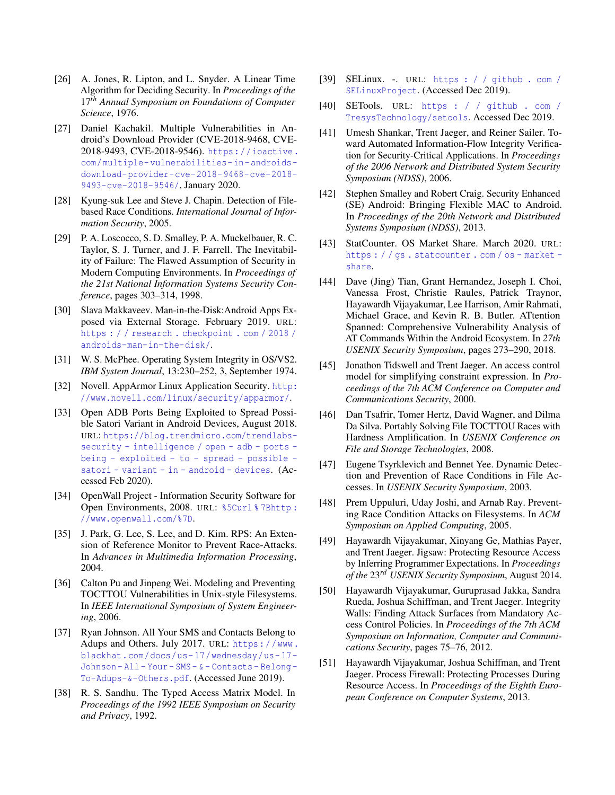- <span id="page-16-10"></span>[26] A. Jones, R. Lipton, and L. Snyder. A Linear Time Algorithm for Deciding Security. In *Proceedings of the* 17*th Annual Symposium on Foundations of Computer Science*, 1976.
- <span id="page-16-3"></span>[27] Daniel Kachakil. Multiple Vulnerabilities in Android's Download Provider (CVE-2018-9468, CVE-2018-9493, CVE-2018-9546). [https://ioactive.](https://ioactive.com/multiple-vulnerabilities-in-androids-download-provider-cve-2018-9468-cve-2018-9493-cve-2018-9546/) [com/multiple- vulnerabilities- in- androids](https://ioactive.com/multiple-vulnerabilities-in-androids-download-provider-cve-2018-9468-cve-2018-9493-cve-2018-9546/)[download-provider-cve-2018-9468-cve-2018-](https://ioactive.com/multiple-vulnerabilities-in-androids-download-provider-cve-2018-9468-cve-2018-9493-cve-2018-9546/) [9493-cve-2018-9546/](https://ioactive.com/multiple-vulnerabilities-in-androids-download-provider-cve-2018-9468-cve-2018-9493-cve-2018-9546/), January 2020.
- <span id="page-16-18"></span>[28] Kyung-suk Lee and Steve J. Chapin. Detection of Filebased Race Conditions. *International Journal of Information Security*, 2005.
- <span id="page-16-6"></span>[29] P. A. Loscocco, S. D. Smalley, P. A. Muckelbauer, R. C. Taylor, S. J. Turner, and J. F. Farrell. The Inevitability of Failure: The Flawed Assumption of Security in Modern Computing Environments. In *Proceedings of the 21st National Information Systems Security Conference*, pages 303–314, 1998.
- <span id="page-16-2"></span>[30] Slava Makkaveev. Man-in-the-Disk:Android Apps Exposed via External Storage. February 2019. URL: [https : / / research . checkpoint . com / 2018 /](https://research.checkpoint.com/2018/androids-man-in-the-disk/) [androids-man-in-the-disk/](https://research.checkpoint.com/2018/androids-man-in-the-disk/).
- <span id="page-16-7"></span>[31] W. S. McPhee. Operating System Integrity in OS/VS2. *IBM System Journal*, 13:230–252, 3, September 1974.
- <span id="page-16-23"></span>[32] Novell. AppArmor Linux Application Security. [http:](http://www.novell.com/linux/security/apparmor/) [//www.novell.com/linux/security/apparmor/](http://www.novell.com/linux/security/apparmor/).
- <span id="page-16-13"></span>[33] Open ADB Ports Being Exploited to Spread Possible Satori Variant in Android Devices, August 2018. URL: [https://blog.trendmicro.com/trendlabs](https://blog.trendmicro.com/trendlabs-security-intelligence/open-adb-ports-being-exploited-to-spread-possible-satori-variant-in-android-devices)[security - intelligence / open - adb - ports](https://blog.trendmicro.com/trendlabs-security-intelligence/open-adb-ports-being-exploited-to-spread-possible-satori-variant-in-android-devices)  [being - exploited - to - spread - possible](https://blog.trendmicro.com/trendlabs-security-intelligence/open-adb-ports-being-exploited-to-spread-possible-satori-variant-in-android-devices)  [satori - variant - in - android - devices](https://blog.trendmicro.com/trendlabs-security-intelligence/open-adb-ports-being-exploited-to-spread-possible-satori-variant-in-android-devices). (Accessed Feb 2020).
- <span id="page-16-20"></span>[34] OpenWall Project - Information Security Software for Open Environments, 2008. URL: [%5Curl % 7Bhttp :](%5Curl%7Bhttp://www.openwall.com/%7D) [//www.openwall.com/%7D](%5Curl%7Bhttp://www.openwall.com/%7D).
- <span id="page-16-16"></span>[35] J. Park, G. Lee, S. Lee, and D. Kim. RPS: An Extension of Reference Monitor to Prevent Race-Attacks. In *Advances in Multimedia Information Processing*, 2004.
- <span id="page-16-19"></span>[36] Calton Pu and Jinpeng Wei. Modeling and Preventing TOCTTOU Vulnerabilities in Unix-style Filesystems. In *IEEE International Symposium of System Engineering*, 2006.
- <span id="page-16-5"></span>[37] Ryan Johnson. All Your SMS and Contacts Belong to Adups and Others. July 2017. URL: [https://www.](https://www.blackhat.com/docs/us-17/wednesday/us-17-Johnson-All-Your-SMS-&-Contacts-Belong-To-Adups-&-Others.pdf) [blackhat.com/docs/us- 17/wednesday/us- 17-](https://www.blackhat.com/docs/us-17/wednesday/us-17-Johnson-All-Your-SMS-&-Contacts-Belong-To-Adups-&-Others.pdf) [Johnson - All - Your - SMS - & - Contacts - Belong -](https://www.blackhat.com/docs/us-17/wednesday/us-17-Johnson-All-Your-SMS-&-Contacts-Belong-To-Adups-&-Others.pdf) [To-Adups-&-Others.pdf](https://www.blackhat.com/docs/us-17/wednesday/us-17-Johnson-All-Your-SMS-&-Contacts-Belong-To-Adups-&-Others.pdf). (Accessed June 2019).
- <span id="page-16-11"></span>[38] R. S. Sandhu. The Typed Access Matrix Model. In *Proceedings of the 1992 IEEE Symposium on Security and Privacy*, 1992.
- <span id="page-16-8"></span>[39] SELinux. -. URL: [https : / / github . com /](https://github.com/SELinuxProject) [SELinuxProject](https://github.com/SELinuxProject). (Accessed Dec 2019).
- <span id="page-16-4"></span>[40] SETools. URL: [https : / / github . com /](https://github.com/TresysTechnology/setools) [TresysTechnology/setools](https://github.com/TresysTechnology/setools). Accessed Dec 2019.
- <span id="page-16-24"></span>[41] Umesh Shankar, Trent Jaeger, and Reiner Sailer. Toward Automated Information-Flow Integrity Verification for Security-Critical Applications. In *Proceedings of the 2006 Network and Distributed System Security Symposium (NDSS)*, 2006.
- <span id="page-16-1"></span>[42] Stephen Smalley and Robert Craig. Security Enhanced (SE) Android: Bringing Flexible MAC to Android. In *Proceedings of the 20th Network and Distributed Systems Symposium (NDSS)*, 2013.
- <span id="page-16-0"></span>[43] StatCounter. OS Market Share. March 2020. URL: [https : / / gs . statcounter . com / os - market](https://gs.statcounter.com/os-market-share)  [share](https://gs.statcounter.com/os-market-share).
- <span id="page-16-14"></span>[44] Dave (Jing) Tian, Grant Hernandez, Joseph I. Choi, Vanessa Frost, Christie Raules, Patrick Traynor, Hayawardh Vijayakumar, Lee Harrison, Amir Rahmati, Michael Grace, and Kevin R. B. Butler. ATtention Spanned: Comprehensive Vulnerability Analysis of AT Commands Within the Android Ecosystem. In *27th USENIX Security Symposium*, pages 273–290, 2018.
- <span id="page-16-12"></span>[45] Jonathon Tidswell and Trent Jaeger. An access control model for simplifying constraint expression. In *Proceedings of the 7th ACM Conference on Computer and Communications Security*, 2000.
- <span id="page-16-17"></span>[46] Dan Tsafrir, Tomer Hertz, David Wagner, and Dilma Da Silva. Portably Solving File TOCTTOU Races with Hardness Amplification. In *USENIX Conference on File and Storage Technologies*, 2008.
- <span id="page-16-21"></span>[47] Eugene Tsyrklevich and Bennet Yee. Dynamic Detection and Prevention of Race Conditions in File Accesses. In *USENIX Security Symposium*, 2003.
- <span id="page-16-22"></span>[48] Prem Uppuluri, Uday Joshi, and Arnab Ray. Preventing Race Condition Attacks on Filesystems. In *ACM Symposium on Applied Computing*, 2005.
- <span id="page-16-15"></span>[49] Hayawardh Vijayakumar, Xinyang Ge, Mathias Payer, and Trent Jaeger. Jigsaw: Protecting Resource Access by Inferring Programmer Expectations. In *Proceedings of the* 23*rd USENIX Security Symposium*, August 2014.
- <span id="page-16-9"></span>[50] Hayawardh Vijayakumar, Guruprasad Jakka, Sandra Rueda, Joshua Schiffman, and Trent Jaeger. Integrity Walls: Finding Attack Surfaces from Mandatory Access Control Policies. In *Proceedings of the 7th ACM Symposium on Information, Computer and Communications Security*, pages 75–76, 2012.
- <span id="page-16-25"></span>[51] Hayawardh Vijayakumar, Joshua Schiffman, and Trent Jaeger. Process Firewall: Protecting Processes During Resource Access. In *Proceedings of the Eighth European Conference on Computer Systems*, 2013.